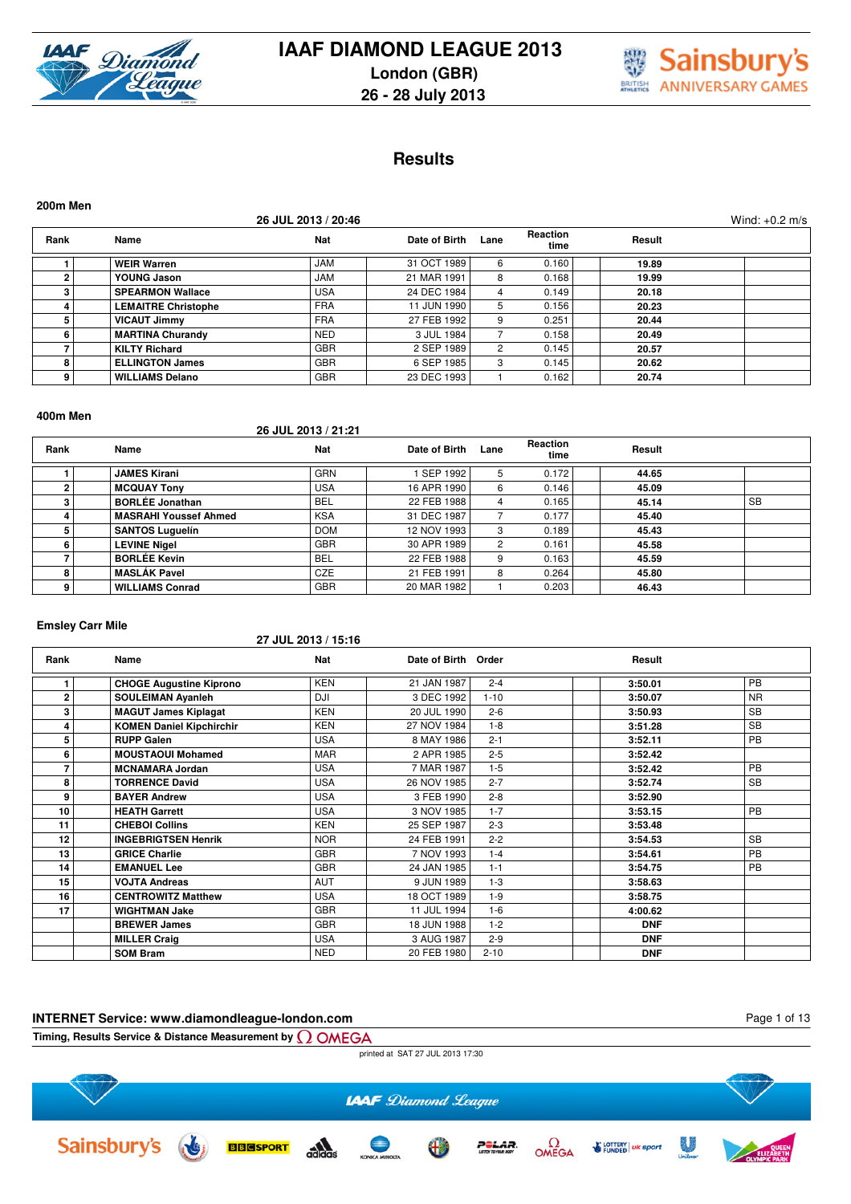



### **Results**

| 200m Men |                            |                     |               |      |                  |        |                  |
|----------|----------------------------|---------------------|---------------|------|------------------|--------|------------------|
|          |                            | 26 JUL 2013 / 20:46 |               |      |                  |        | Wind: $+0.2$ m/s |
| Rank     | Name                       | <b>Nat</b>          | Date of Birth | Lane | Reaction<br>time | Result |                  |
|          | <b>WEIR Warren</b>         | <b>JAM</b>          | 31 OCT 1989   | 6    | 0.160            | 19.89  |                  |
| 2        | YOUNG Jason                | <b>JAM</b>          | 21 MAR 1991   | 8    | 0.168            | 19.99  |                  |
| 3        | <b>SPEARMON Wallace</b>    | <b>USA</b>          | 24 DEC 1984   | 4    | 0.149            | 20.18  |                  |
| 4        | <b>LEMAITRE Christophe</b> | <b>FRA</b>          | 11 JUN 1990   | 5    | 0.156            | 20.23  |                  |
| 5        | <b>VICAUT Jimmy</b>        | <b>FRA</b>          | 27 FEB 1992   | 9    | 0.251            | 20.44  |                  |
| 6        | <b>MARTINA Churandy</b>    | <b>NED</b>          | 3 JUL 1984    |      | 0.158            | 20.49  |                  |
|          | <b>KILTY Richard</b>       | <b>GBR</b>          | 2 SEP 1989    | 2    | 0.145            | 20.57  |                  |
| 8        | <b>ELLINGTON James</b>     | <b>GBR</b>          | 6 SEP 1985    | 3    | 0.145            | 20.62  |                  |
| 9        | <b>WILLIAMS Delano</b>     | <b>GBR</b>          | 23 DEC 1993   |      | 0.162            | 20.74  |                  |

#### **400m Men**

**26 JUL 2013 / 21:21**

| Rank | Name                         | <b>Nat</b> | Date of Birth | Lane | Reaction<br>time | Result |           |
|------|------------------------------|------------|---------------|------|------------------|--------|-----------|
|      | <b>JAMES Kirani</b>          | <b>GRN</b> | SEP 1992      |      | 0.172            | 44.65  |           |
|      | <b>MCQUAY Tony</b>           | <b>USA</b> | 16 APR 1990   | 6    | 0.146            | 45.09  |           |
|      | <b>BORLÉE Jonathan</b>       | <b>BEL</b> | 22 FEB 1988   |      | 0.165            | 45.14  | <b>SB</b> |
|      | <b>MASRAHI Youssef Ahmed</b> | <b>KSA</b> | 31 DEC 1987   |      | 0.177            | 45.40  |           |
|      | <b>SANTOS Luquelín</b>       | <b>DOM</b> | 12 NOV 1993   |      | 0.189            | 45.43  |           |
|      | <b>LEVINE Nigel</b>          | <b>GBR</b> | 30 APR 1989   |      | 0.161            | 45.58  |           |
|      | <b>BORLÉE Kevin</b>          | <b>BEL</b> | 22 FEB 1988   |      | 0.163            | 45.59  |           |
|      | <b>MASLÁK Pavel</b>          | <b>CZE</b> | 21 FEB 1991   |      | 0.264            | 45.80  |           |
|      | <b>WILLIAMS Conrad</b>       | <b>GBR</b> | 20 MAR 1982   |      | 0.203            | 46.43  |           |

#### **Emsley Carr Mile**

#### **27 JUL 2013 / 15:16**

| Rank         | Name                            | Nat        | Date of Birth Order |          | Result     |           |
|--------------|---------------------------------|------------|---------------------|----------|------------|-----------|
|              | <b>CHOGE Augustine Kiprono</b>  | <b>KEN</b> | 21 JAN 1987         | $2 - 4$  | 3:50.01    | PB        |
| $\mathbf{2}$ | <b>SOULEIMAN Ayanleh</b>        | <b>DJI</b> | 3 DEC 1992          | $1 - 10$ | 3:50.07    | <b>NR</b> |
| 3            | <b>MAGUT James Kiplagat</b>     | <b>KEN</b> | 20 JUL 1990         | $2 - 6$  | 3:50.93    | <b>SB</b> |
| 4            | <b>KOMEN Daniel Kipchirchir</b> | <b>KEN</b> | 27 NOV 1984         | $1 - 8$  | 3:51.28    | <b>SB</b> |
| 5            | <b>RUPP Galen</b>               | <b>USA</b> | 8 MAY 1986          | $2 - 1$  | 3:52.11    | PB        |
| 6            | <b>MOUSTAOUI Mohamed</b>        | <b>MAR</b> | 2 APR 1985          | $2 - 5$  | 3:52.42    |           |
| 7            | <b>MCNAMARA Jordan</b>          | <b>USA</b> | 7 MAR 1987          | $1 - 5$  | 3:52.42    | PB        |
| 8            | <b>TORRENCE David</b>           | <b>USA</b> | 26 NOV 1985         | $2 - 7$  | 3:52.74    | <b>SB</b> |
| 9            | <b>BAYER Andrew</b>             | <b>USA</b> | 3 FEB 1990          | $2 - 8$  | 3:52.90    |           |
| 10           | <b>HEATH Garrett</b>            | <b>USA</b> | 3 NOV 1985          | $1 - 7$  | 3:53.15    | PB        |
| 11           | <b>CHEBOI Collins</b>           | <b>KEN</b> | 25 SEP 1987         | $2 - 3$  | 3:53.48    |           |
| 12           | <b>INGEBRIGTSEN Henrik</b>      | <b>NOR</b> | 24 FEB 1991         | $2 - 2$  | 3:54.53    | <b>SB</b> |
| 13           | <b>GRICE Charlie</b>            | <b>GBR</b> | 7 NOV 1993          | $1 - 4$  | 3:54.61    | PB        |
| 14           | <b>EMANUEL Lee</b>              | <b>GBR</b> | 24 JAN 1985         | $1 - 1$  | 3:54.75    | PB        |
| 15           | <b>VOJTA Andreas</b>            | <b>AUT</b> | 9 JUN 1989          | $1 - 3$  | 3:58.63    |           |
| 16           | <b>CENTROWITZ Matthew</b>       | <b>USA</b> | 18 OCT 1989         | $1 - 9$  | 3:58.75    |           |
| 17           | <b>WIGHTMAN Jake</b>            | <b>GBR</b> | 11 JUL 1994         | $1 - 6$  | 4:00.62    |           |
|              | <b>BREWER James</b>             | <b>GBR</b> | 18 JUN 1988         | $1 - 2$  | <b>DNF</b> |           |
|              | <b>MILLER Craig</b>             | <b>USA</b> | 3 AUG 1987          | $2 - 9$  | <b>DNF</b> |           |
|              | <b>SOM Bram</b>                 | <b>NED</b> | 20 FEB 1980         | $2 - 10$ | <b>DNF</b> |           |

# **INTERNET Service: www.diamondleague-london.com**

Page 1 of 13



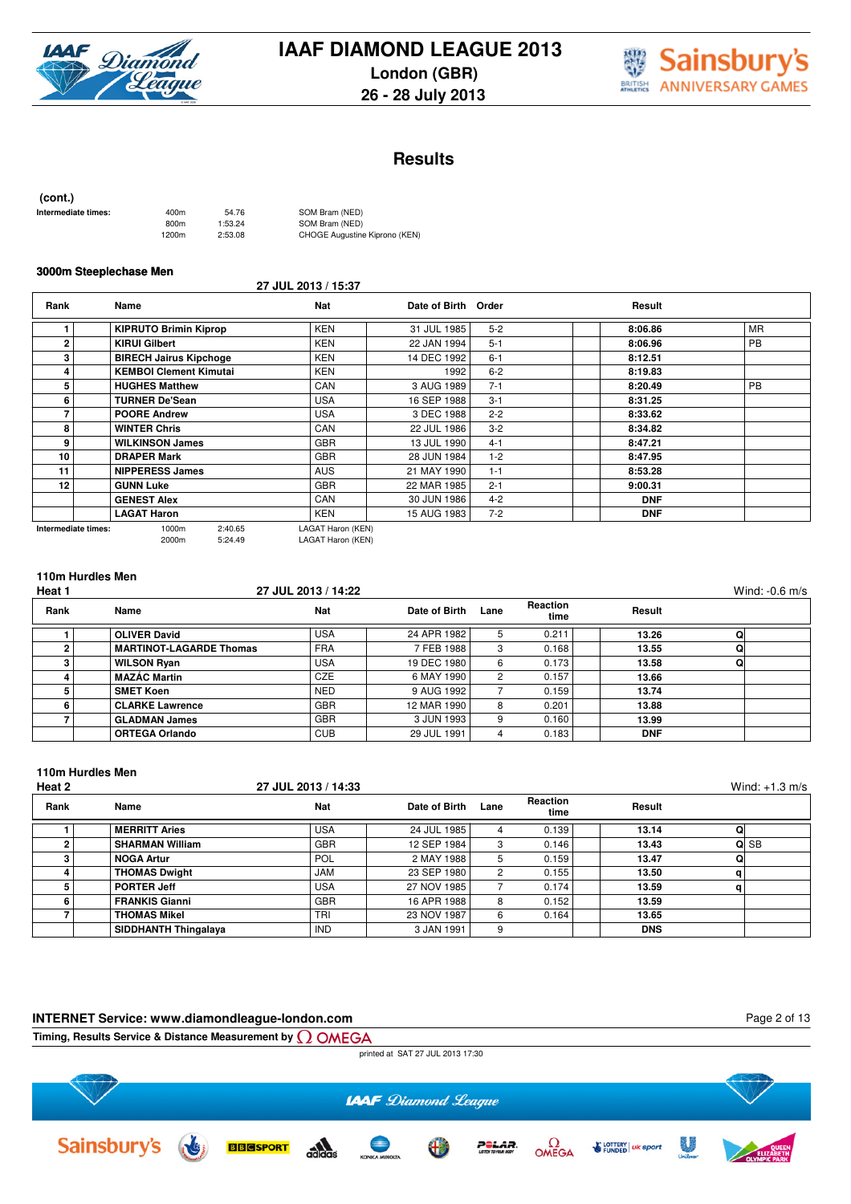



### **Results**

| (cont.)             |       |         |                               |
|---------------------|-------|---------|-------------------------------|
| Intermediate times: | 400m  | 54.76   | SOM Bram (NED)                |
|                     | 800m  | 1:53.24 | SOM Bram (NED)                |
|                     | 1200m | 2:53.08 | CHOGE Augustine Kiprono (KEN) |

#### **3000m Steeplechase Men**

|                     |                               | 27 JUL 2013 / 15:37 |                     |         |            |           |
|---------------------|-------------------------------|---------------------|---------------------|---------|------------|-----------|
| Rank                | Name                          | Nat                 | Date of Birth Order |         | Result     |           |
|                     | <b>KIPRUTO Brimin Kiprop</b>  | <b>KEN</b>          | 31 JUL 1985         | $5 - 2$ | 8:06.86    | <b>MR</b> |
| 2                   | <b>KIRUI Gilbert</b>          | <b>KEN</b>          | 22 JAN 1994         | $5 - 1$ | 8:06.96    | <b>PB</b> |
| з                   | <b>BIRECH Jairus Kipchoge</b> | <b>KEN</b>          | 14 DEC 1992         | $6 - 1$ | 8:12.51    |           |
| 4                   | <b>KEMBOI Clement Kimutai</b> | <b>KEN</b>          | 1992                | $6 - 2$ | 8:19.83    |           |
| 5                   | <b>HUGHES Matthew</b>         | CAN                 | 3 AUG 1989          | $7 - 1$ | 8:20.49    | <b>PB</b> |
| 6                   | <b>TURNER De'Sean</b>         | <b>USA</b>          | 16 SEP 1988         | $3 - 1$ | 8:31.25    |           |
|                     | <b>POORE Andrew</b>           | <b>USA</b>          | 3 DEC 1988          | $2 - 2$ | 8:33.62    |           |
| 8                   | <b>WINTER Chris</b>           | CAN                 | 22 JUL 1986         | $3 - 2$ | 8:34.82    |           |
| 9                   | <b>WILKINSON James</b>        | <b>GBR</b>          | 13 JUL 1990         | $4 - 1$ | 8:47.21    |           |
| 10                  | <b>DRAPER Mark</b>            | <b>GBR</b>          | 28 JUN 1984         | $1 - 2$ | 8:47.95    |           |
| 11                  | <b>NIPPERESS James</b>        | <b>AUS</b>          | 21 MAY 1990         | $1 - 1$ | 8:53.28    |           |
| 12                  | <b>GUNN Luke</b>              | <b>GBR</b>          | 22 MAR 1985         | $2 - 1$ | 9:00.31    |           |
|                     | <b>GENEST Alex</b>            | CAN                 | 30 JUN 1986         | $4 - 2$ | <b>DNF</b> |           |
|                     | <b>LAGAT Haron</b>            | <b>KEN</b>          | 15 AUG 1983         | $7 - 2$ | <b>DNF</b> |           |
| Intermediate times: | 2:40.65<br>1000m              | LAGAT Haron (KEN)   |                     |         |            |           |

2000m 5:24.49 LAGAT Haron (KEN)

### **110m Hurdles Men**

| Heat 1 |                                | 27 JUL 2013 / 14:22 |               |      |                  |            | Wind: $-0.6$ m/s |
|--------|--------------------------------|---------------------|---------------|------|------------------|------------|------------------|
| Rank   | Name                           | <b>Nat</b>          | Date of Birth | Lane | Reaction<br>time | Result     |                  |
|        | <b>OLIVER David</b>            | <b>USA</b>          | 24 APR 1982   |      | 0.211            | 13.26      | O                |
|        | <b>MARTINOT-LAGARDE Thomas</b> | <b>FRA</b>          | 7 FEB 1988    |      | 0.168            | 13.55      |                  |
|        | <b>WILSON Ryan</b>             | <b>USA</b>          | 19 DEC 1980   | 6    | 0.173            | 13.58      |                  |
|        | <b>MAZÁC Martin</b>            | <b>CZE</b>          | 6 MAY 1990    |      | 0.157            | 13.66      |                  |
|        | <b>SMET Koen</b>               | <b>NED</b>          | 9 AUG 1992    |      | 0.159            | 13.74      |                  |
| 6      | <b>CLARKE Lawrence</b>         | <b>GBR</b>          | 12 MAR 1990   |      | 0.201            | 13.88      |                  |
|        | <b>GLADMAN James</b>           | <b>GBR</b>          | 3 JUN 1993    |      | 0.160            | 13.99      |                  |
|        | <b>ORTEGA Orlando</b>          | <b>CUB</b>          | 29 JUL 1991   |      | 0.183            | <b>DNF</b> |                  |

### **110m Hurdles Men**

| Heat 2 |                             | 27 JUL 2013 / 14:33 |               |      |                  |            | Wind: $+1.3$ m/s |
|--------|-----------------------------|---------------------|---------------|------|------------------|------------|------------------|
| Rank   | Name                        | Nat                 | Date of Birth | Lane | Reaction<br>time | Result     |                  |
|        | <b>MERRITT Aries</b>        | <b>USA</b>          | 24 JUL 1985   |      | 0.139            | 13.14      | Q                |
|        | <b>SHARMAN William</b>      | <b>GBR</b>          | 12 SEP 1984   | 3    | 0.146            | 13.43      | Q SB             |
|        | <b>NOGA Artur</b>           | <b>POL</b>          | 2 MAY 1988    | 5    | 0.159            | 13.47      | Q                |
|        | <b>THOMAS Dwight</b>        | JAM                 | 23 SEP 1980   | 2    | 0.155            | 13.50      | q                |
|        | <b>PORTER Jeff</b>          | <b>USA</b>          | 27 NOV 1985   |      | 0.174            | 13.59      | a                |
|        | <b>FRANKIS Gianni</b>       | <b>GBR</b>          | 16 APR 1988   | 8    | 0.152            | 13.59      |                  |
|        | <b>THOMAS Mikel</b>         | TRI                 | 23 NOV 1987   | 6    | 0.164            | 13.65      |                  |
|        | <b>SIDDHANTH Thingalaya</b> | <b>IND</b>          | 3 JAN 1991    | 9    |                  | <b>DNS</b> |                  |

#### **INTERNET Service: www.diamondleague-london.com**

Page 2 of 13

**Timing, Results Service & Distance Measurement by**

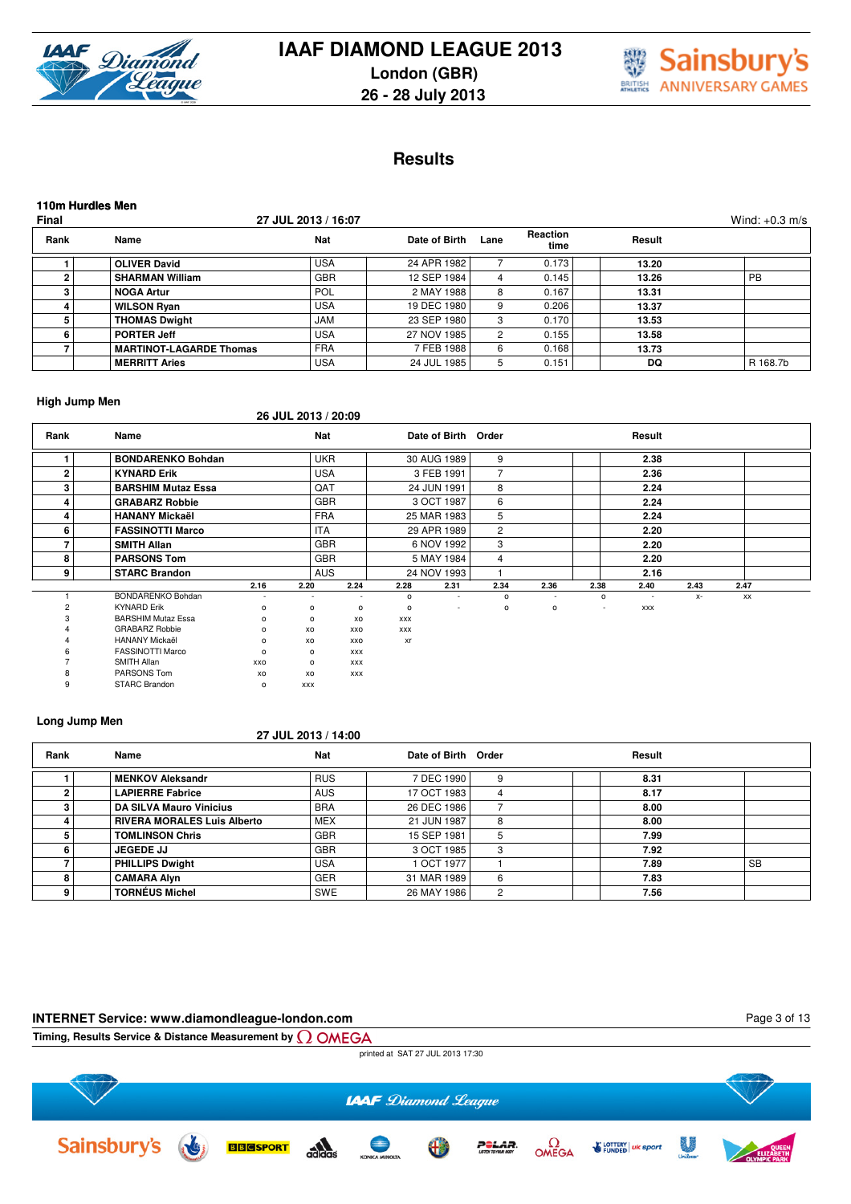



# **Results**

| 110m Hurdles Men<br>Final<br>27 JUL 2013 / 16:07<br>Wind: $+0.3$ m/s |                                |            |               |      |                  |        |          |  |  |  |  |  |
|----------------------------------------------------------------------|--------------------------------|------------|---------------|------|------------------|--------|----------|--|--|--|--|--|
| Rank                                                                 | Name                           | <b>Nat</b> | Date of Birth | Lane | Reaction<br>time | Result |          |  |  |  |  |  |
|                                                                      | <b>OLIVER David</b>            | <b>USA</b> | 24 APR 1982   |      | 0.173            | 13.20  |          |  |  |  |  |  |
| 2                                                                    | <b>SHARMAN William</b>         | <b>GBR</b> | 12 SEP 1984   | 4    | 0.145            | 13.26  | PB       |  |  |  |  |  |
| з                                                                    | <b>NOGA Artur</b>              | <b>POL</b> | 2 MAY 1988    | 8    | 0.167            | 13.31  |          |  |  |  |  |  |
|                                                                      | <b>WILSON Ryan</b>             | <b>USA</b> | 19 DEC 1980   | 9    | 0.206            | 13.37  |          |  |  |  |  |  |
| 5                                                                    | <b>THOMAS Dwight</b>           | <b>JAM</b> | 23 SEP 1980   | 3    | 0.170            | 13.53  |          |  |  |  |  |  |
| 6                                                                    | <b>PORTER Jeff</b>             | <b>USA</b> | 27 NOV 1985   | 2    | 0.155            | 13.58  |          |  |  |  |  |  |
|                                                                      | <b>MARTINOT-LAGARDE Thomas</b> | <b>FRA</b> | 7 FEB 1988    | 6    | 0.168            | 13.73  |          |  |  |  |  |  |
|                                                                      | <b>MERRITT Aries</b>           | <b>USA</b> | 24 JUL 1985   | 5    | 0.151            | DQ     | R 168.7b |  |  |  |  |  |

#### **High Jump Men**

**26 JUL 2013 / 20:09**

| Rank | Name                      |                          | <b>Nat</b>               |                          |              | Date of Birth Order      |                |              |                          | Result                   |      |      |  |
|------|---------------------------|--------------------------|--------------------------|--------------------------|--------------|--------------------------|----------------|--------------|--------------------------|--------------------------|------|------|--|
|      | <b>BONDARENKO Bohdan</b>  |                          | <b>UKR</b>               |                          |              | 30 AUG 1989              | 9              |              |                          | 2.38                     |      |      |  |
|      | <b>KYNARD Erik</b>        |                          | <b>USA</b>               |                          |              | 3 FEB 1991               | 7              |              |                          | 2.36                     |      |      |  |
|      | <b>BARSHIM Mutaz Essa</b> |                          | QAT                      |                          |              | 24 JUN 1991              | 8              |              |                          | 2.24                     |      |      |  |
|      | <b>GRABARZ Robbie</b>     |                          |                          | <b>GBR</b>               |              | 3 OCT 1987               | 6              |              |                          | 2.24                     |      |      |  |
| 4    | <b>HANANY Mickaël</b>     |                          | <b>FRA</b>               |                          |              | 25 MAR 1983              | 5              |              |                          | 2.24                     |      |      |  |
| 6    | <b>FASSINOTTI Marco</b>   |                          | <b>ITA</b>               |                          |              | 29 APR 1989              | $\overline{c}$ |              |                          | 2.20                     |      |      |  |
|      | <b>SMITH Allan</b>        |                          | <b>GBR</b>               |                          | 6 NOV 1992   |                          | 3              |              |                          | 2.20                     |      |      |  |
|      | <b>PARSONS Tom</b>        |                          |                          | <b>GBR</b>               | 5 MAY 1984   |                          | 4              |              |                          | 2.20                     |      |      |  |
| 9    | <b>STARC Brandon</b>      |                          | <b>AUS</b>               |                          | 24 NOV 1993  |                          |                |              |                          | 2.16                     |      |      |  |
|      |                           | 2.16                     | 2.20                     | 2.24                     | 2.28         | 2.31                     | 2.34           | 2.36         | 2.38                     | 2.40                     | 2.43 | 2.47 |  |
|      | BONDARENKO Bohdan         | $\overline{\phantom{a}}$ | $\overline{\phantom{a}}$ | $\overline{\phantom{a}}$ | $\circ$      | $\overline{\phantom{a}}$ | o              | ۰            | $\circ$                  | $\overline{\phantom{a}}$ | $X-$ | XX   |  |
|      | <b>KYNARD Erik</b>        | о                        | $\circ$                  | о                        | $\mathsf{o}$ | ٠                        | o              | $\mathsf{o}$ | $\overline{\phantom{a}}$ | <b>XXX</b>               |      |      |  |
|      | <b>BARSHIM Mutaz Essa</b> | 0                        | $\circ$                  | XO                       | <b>XXX</b>   |                          |                |              |                          |                          |      |      |  |
|      | <b>GRABARZ Robbie</b>     | 0                        | XO                       | XXO                      | <b>XXX</b>   |                          |                |              |                          |                          |      |      |  |
|      | <b>HANANY Mickaël</b>     | 0                        | xo                       | XXO                      | xr           |                          |                |              |                          |                          |      |      |  |
|      | <b>FASSINOTTI Marco</b>   | 0                        | $\circ$                  | <b>XXX</b>               |              |                          |                |              |                          |                          |      |      |  |
|      | SMITH Allan               | XXO                      | $\circ$                  | <b>XXX</b>               |              |                          |                |              |                          |                          |      |      |  |
|      | PARSONS Tom               | XO                       | XO                       | <b>XXX</b>               |              |                          |                |              |                          |                          |      |      |  |
| 9    | STARC Brandon             | $\circ$                  | <b>XXX</b>               |                          |              |                          |                |              |                          |                          |      |      |  |

#### **Long Jump Men**

# **27 JUL 2013 / 14:00**

| Rank | Name                               | <b>Nat</b> | Date of Birth Order |   | Result |           |
|------|------------------------------------|------------|---------------------|---|--------|-----------|
|      | <b>MENKOV Aleksandr</b>            | <b>RUS</b> | 7 DEC 1990          | 9 | 8.31   |           |
|      | <b>LAPIERRE Fabrice</b>            | <b>AUS</b> | 17 OCT 1983         |   | 8.17   |           |
|      | <b>DA SILVA Mauro Vinicius</b>     | <b>BRA</b> | 26 DEC 1986         |   | 8.00   |           |
|      | <b>RIVERA MORALES Luis Alberto</b> | <b>MEX</b> | 21 JUN 1987         | 8 | 8.00   |           |
|      | <b>TOMLINSON Chris</b>             | <b>GBR</b> | 15 SEP 1981         |   | 7.99   |           |
|      | <b>JEGEDE JJ</b>                   | <b>GBR</b> | 3 OCT 1985          | 3 | 7.92   |           |
|      | <b>PHILLIPS Dwight</b>             | <b>USA</b> | 1 OCT 1977          |   | 7.89   | <b>SB</b> |
|      | <b>CAMARA Alyn</b>                 | <b>GER</b> | 31 MAR 1989         | 6 | 7.83   |           |
| 9    | <b>TORNÉUS Michel</b>              | SWE        | 26 MAY 1986         | 2 | 7.56   |           |

#### **INTERNET Service: www.diamondleague-london.com**

Page 3 of 13

**Timing, Results Service & Distance Measurement by**



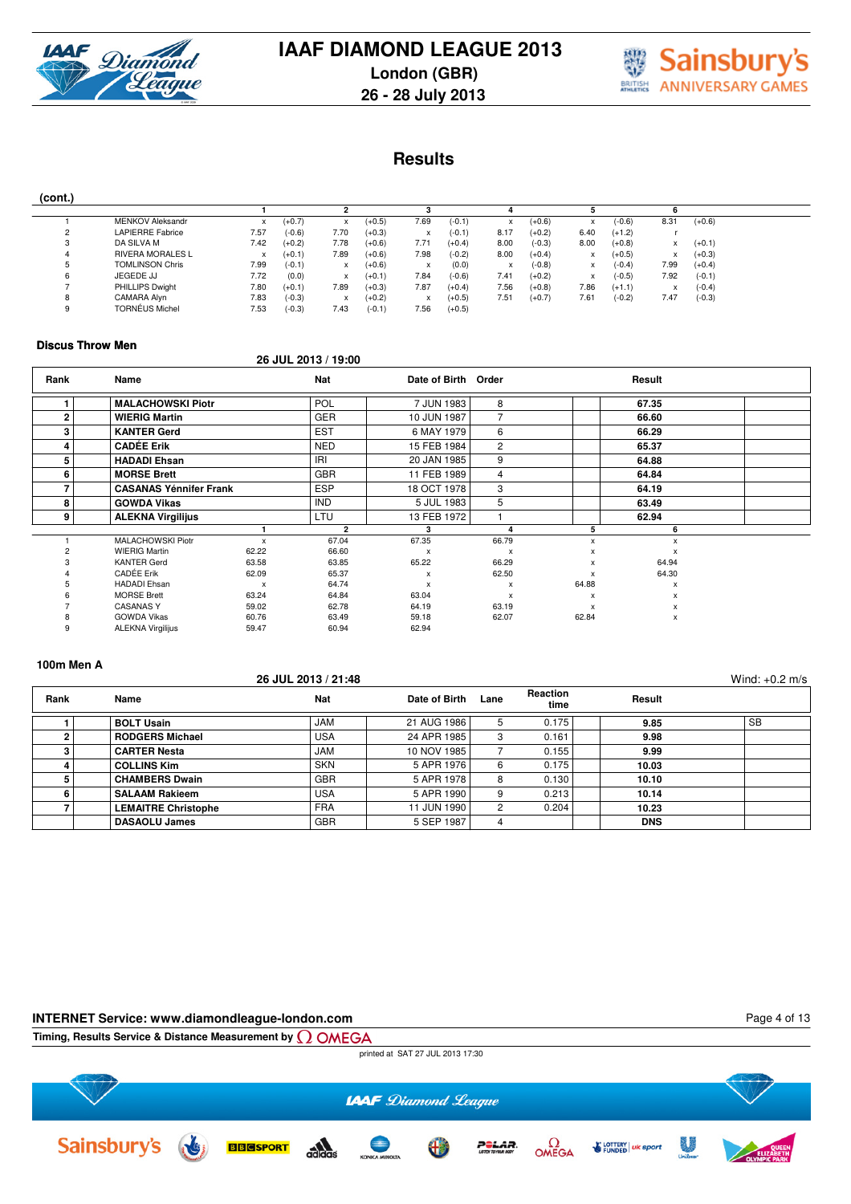



**Results**

|--|

| $ -$   |                         |      |          |                           |          |           |          |      |          |           |          |                                       |          |  |
|--------|-------------------------|------|----------|---------------------------|----------|-----------|----------|------|----------|-----------|----------|---------------------------------------|----------|--|
|        |                         |      |          |                           |          |           |          |      |          |           |          |                                       |          |  |
|        | <b>MENKOV Aleksandr</b> | x    | $(+0.7)$ | x                         | $(+0.5)$ | 7.69      | $(-0.1)$ |      | $(+0.6)$ |           | $(-0.6)$ | 8.31                                  | $(+0.6)$ |  |
| ≘<br>∼ | <b>LAPIERRE Fabrice</b> | 7.57 | $(-0.6)$ | 7.70                      | $(+0.3)$ | A         | $(-0.1)$ | 8.17 | $(+0.2)$ | 6.40      | $(+1.2)$ |                                       |          |  |
| 3      | DA SILVA M              | 7.42 | $(+0.2)$ | 7.78                      | $(+0.6)$ | 7.71      | $(+0.4)$ | 8.00 | $(-0.3)$ | 8.00      | $(+0.8)$ |                                       | $(+0.1)$ |  |
| 4      | <b>RIVERA MORALES L</b> | x    | $(+0.1)$ | 7.89                      | $(+0.6)$ | 7.98      | $(-0.2)$ | 8.00 | $(+0.4)$ |           | $(+0.5)$ | ⋏                                     | $(+0.3)$ |  |
| ь      | <b>TOMLINSON Chris</b>  | 7.99 | $(-0.1)$ | X                         | $(+0.6)$ |           | (0.0)    |      | $(-0.8)$ | $\lambda$ | $(-0.4)$ | 7.99                                  | $(+0.4)$ |  |
| 6      | JEGEDE JJ               | 7.72 | (0.0)    | x                         | $(+0.1)$ | 7.84      | $(-0.6)$ | 7.41 | $(+0.2)$ |           | $(-0.5)$ | 7.92                                  | $(-0.1)$ |  |
|        | PHILLIPS Dwight         | 7.80 | $(+0.1)$ | 7.89                      | $(+0.3)$ | 7.87      | $(+0.4)$ | 7.56 | $(+0.8)$ | 7.86      | $(+1.1)$ | $\overline{\phantom{a}}$<br>$\lambda$ | $(-0.4)$ |  |
| 8      | CAMARA Alvn             | 7.83 | $(-0.3)$ | $\checkmark$<br>$\lambda$ | $(+0.2)$ | $\lambda$ | $(+0.5)$ | 7.51 | $(+0.7)$ | 7.61      | $(-0.2)$ | 7.47                                  | $(-0.3)$ |  |
| 9      | <b>TORNÉUS Michel</b>   | 7.53 | $(-0.3)$ | 7.43                      | $(-0.1)$ | 7.56      | $(+0.5)$ |      |          |           |          |                                       |          |  |
|        |                         |      |          |                           |          |           |          |      |          |           |          |                                       |          |  |

#### **Discus Throw Men**

#### **26 JUL 2013 / 19:00**

| Rank | <b>Name</b>                   |                           | <b>Nat</b>   | Date of Birth Order |                           |                           | Result |  |
|------|-------------------------------|---------------------------|--------------|---------------------|---------------------------|---------------------------|--------|--|
|      | <b>MALACHOWSKI Piotr</b>      |                           | POL          | 7 JUN 1983          | 8                         |                           | 67.35  |  |
| 2    | <b>WIERIG Martin</b>          |                           | <b>GER</b>   | 10 JUN 1987         | 7                         |                           | 66.60  |  |
| 3    | <b>KANTER Gerd</b>            |                           | <b>EST</b>   | 6 MAY 1979          | 6                         |                           | 66.29  |  |
| 4    | <b>CADÉE Erik</b>             |                           | <b>NED</b>   | 15 FEB 1984         | $\overline{2}$            |                           | 65.37  |  |
| 5    | <b>HADADI Ehsan</b>           |                           | IRI          | 20 JAN 1985         | 9                         |                           | 64.88  |  |
| 6    | <b>MORSE Brett</b>            |                           | <b>GBR</b>   | 11 FEB 1989         | $\overline{4}$            |                           | 64.84  |  |
|      | <b>CASANAS Yénnifer Frank</b> |                           | <b>ESP</b>   | 18 OCT 1978         | 3                         |                           | 64.19  |  |
| 8    | <b>GOWDA Vikas</b>            |                           | <b>IND</b>   | 5 JUL 1983          | 5                         |                           | 63.49  |  |
| 9    | <b>ALEKNA Virgilijus</b>      |                           | LTU          | 13 FEB 1972         |                           |                           | 62.94  |  |
|      |                               |                           | $\mathbf{2}$ | з                   |                           | 5                         | 6      |  |
|      | MALACHOWSKI Piotr             | $\boldsymbol{\mathsf{x}}$ | 67.04        | 67.35               | 66.79                     | x                         | X      |  |
|      | <b>WIERIG Martin</b>          | 62.22                     | 66.60        | x                   | $\boldsymbol{\mathsf{x}}$ | x                         | х      |  |
|      | <b>KANTER Gerd</b>            | 63.58                     | 63.85        | 65.22               | 66.29                     | x                         | 64.94  |  |
|      | <b>CADÉE Erik</b>             | 62.09                     | 65.37        | x                   | 62.50                     | $\boldsymbol{\mathsf{x}}$ | 64.30  |  |
|      | <b>HADADI</b> Ehsan           | $\boldsymbol{\mathsf{x}}$ | 64.74        | x                   | $\boldsymbol{\mathsf{x}}$ | 64.88                     | X      |  |
|      | <b>MORSE Brett</b>            | 63.24                     | 64.84        | 63.04               | $\boldsymbol{\mathsf{x}}$ | X                         | X      |  |
|      | <b>CASANAS Y</b>              | 59.02                     | 62.78        | 64.19               | 63.19                     | $\boldsymbol{\mathsf{x}}$ | х      |  |
| 8    | <b>GOWDA Vikas</b>            | 60.76                     | 63.49        | 59.18               | 62.07                     | 62.84                     | x      |  |
| 9    | <b>ALEKNA Virgilijus</b>      | 59.47                     | 60.94        | 62.94               |                           |                           |        |  |

### **100m Men A**

|      |                            | 26 JUL 2013 / 21:48 |               |      |                  |            | Wind: $+0.2$ m/s |
|------|----------------------------|---------------------|---------------|------|------------------|------------|------------------|
| Rank | Name                       | <b>Nat</b>          | Date of Birth | Lane | Reaction<br>time | Result     |                  |
|      | <b>BOLT Usain</b>          | <b>JAM</b>          | 21 AUG 1986   | 5    | 0.175            | 9.85       | <b>SB</b>        |
| 2    | <b>RODGERS Michael</b>     | <b>USA</b>          | 24 APR 1985   | 3    | 0.161            | 9.98       |                  |
| з    | <b>CARTER Nesta</b>        | <b>JAM</b>          | 10 NOV 1985   |      | 0.155            | 9.99       |                  |
|      | <b>COLLINS Kim</b>         | <b>SKN</b>          | 5 APR 1976    | 6    | 0.175            | 10.03      |                  |
|      | <b>CHAMBERS Dwain</b>      | <b>GBR</b>          | 5 APR 1978    | 8    | 0.130            | 10.10      |                  |
| 6    | <b>SALAAM Rakieem</b>      | <b>USA</b>          | 5 APR 1990    |      | 0.213            | 10.14      |                  |
|      | <b>LEMAITRE Christophe</b> | <b>FRA</b>          | 11 JUN 1990   |      | 0.204            | 10.23      |                  |
|      | <b>DASAOLU James</b>       | <b>GBR</b>          | 5 SEP 1987    |      |                  | <b>DNS</b> |                  |

#### **INTERNET Service: www.diamondleague-london.com**

Page 4 of 13

**Timing, Results Service & Distance Measurement by**

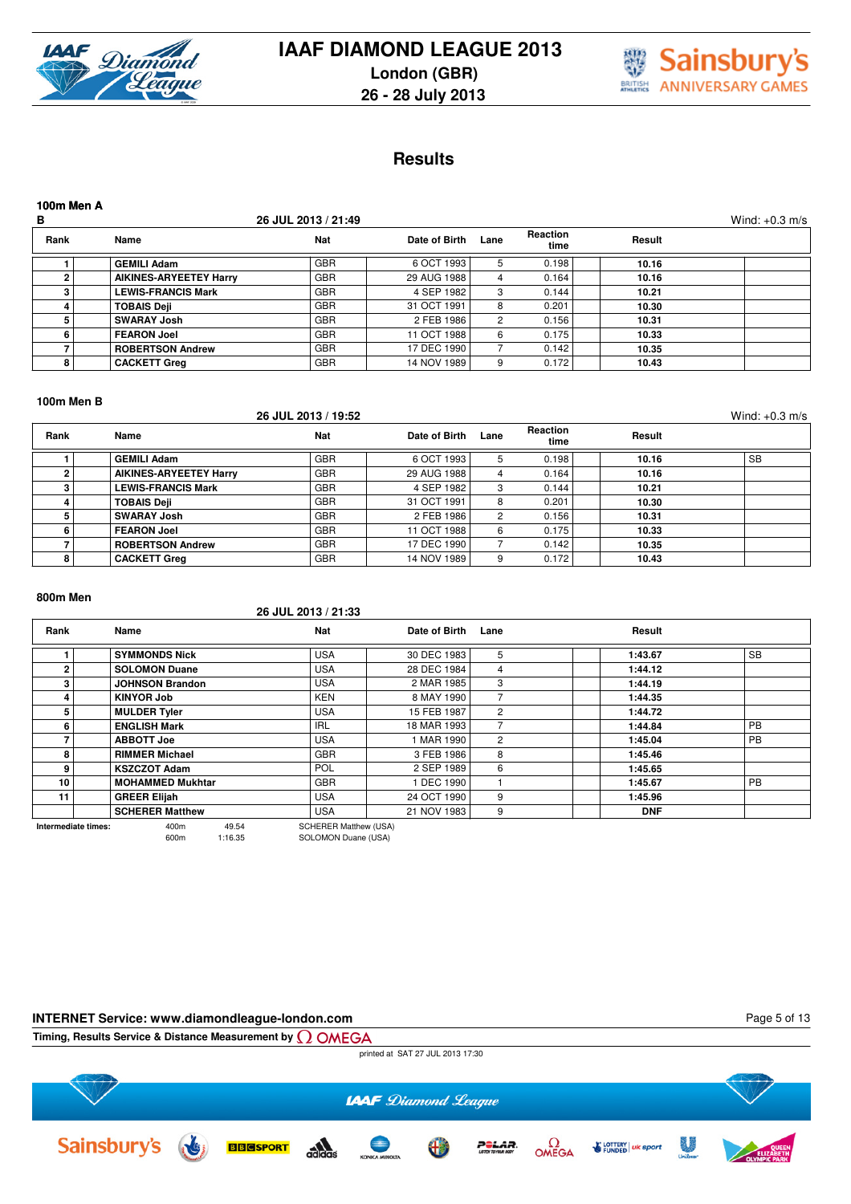



# **Results**

| 100m Men A<br>В |                               | 26 JUL 2013 / 21:49 |               |      |                         |        | Wind: $+0.3$ m/s |
|-----------------|-------------------------------|---------------------|---------------|------|-------------------------|--------|------------------|
| Rank            | Name                          | <b>Nat</b>          | Date of Birth | Lane | <b>Reaction</b><br>time | Result |                  |
|                 | <b>GEMILI Adam</b>            | <b>GBR</b>          | 6 OCT 1993    | 5.   | 0.198                   | 10.16  |                  |
| 2               | <b>AIKINES-ARYEETEY Harry</b> | <b>GBR</b>          | 29 AUG 1988   | 4    | 0.164                   | 10.16  |                  |
| з               | <b>LEWIS-FRANCIS Mark</b>     | <b>GBR</b>          | 4 SEP 1982    | 3    | 0.144                   | 10.21  |                  |
| 4               | <b>TOBAIS Deji</b>            | <b>GBR</b>          | 31 OCT 1991   | 8    | 0.201                   | 10.30  |                  |
| 5               | <b>SWARAY Josh</b>            | <b>GBR</b>          | 2 FEB 1986    | 2    | 0.156                   | 10.31  |                  |
| 6               | <b>FEARON Joel</b>            | <b>GBR</b>          | 11 OCT 1988   | 6    | 0.175                   | 10.33  |                  |
|                 | <b>ROBERTSON Andrew</b>       | <b>GBR</b>          | 17 DEC 1990   |      | 0.142                   | 10.35  |                  |
| 8               | <b>CACKETT Greg</b>           | <b>GBR</b>          | 14 NOV 1989   |      | 0.172                   | 10.43  |                  |

#### **100m Men B**

|      |                               | 26 JUL 2013 / 19:52 |               |      |                  |        | Wind: $+0.3$ m/s |
|------|-------------------------------|---------------------|---------------|------|------------------|--------|------------------|
| Rank | Name                          | <b>Nat</b>          | Date of Birth | Lane | Reaction<br>time | Result |                  |
|      | <b>GEMILI Adam</b>            | <b>GBR</b>          | 6 OCT 1993    | 5.   | 0.198            | 10.16  | <b>SB</b>        |
| ົ    | <b>AIKINES-ARYEETEY Harry</b> | <b>GBR</b>          | 29 AUG 1988   | 4    | 0.164            | 10.16  |                  |
| з    | <b>LEWIS-FRANCIS Mark</b>     | <b>GBR</b>          | 4 SEP 1982    | 3    | 0.144            | 10.21  |                  |
|      | <b>TOBAIS Deji</b>            | <b>GBR</b>          | 31 OCT 1991   | 8    | 0.201            | 10.30  |                  |
|      | <b>SWARAY Josh</b>            | <b>GBR</b>          | 2 FEB 1986    | 2    | 0.156            | 10.31  |                  |
| 6    | <b>FEARON Joel</b>            | <b>GBR</b>          | 11 OCT 1988   | 6    | 0.175            | 10.33  |                  |
|      | <b>ROBERTSON Andrew</b>       | <b>GBR</b>          | 17 DEC 1990   |      | 0.142            | 10.35  |                  |
| 8    | <b>CACKETT Greg</b>           | <b>GBR</b>          | 14 NOV 1989   | 9    | 0.172            | 10.43  |                  |

#### **800m Men**

#### **26 JUL 2013 / 21:33**

| Rank                | Name                    | <b>Nat</b>                   | Date of Birth | Lane           | Result     |           |
|---------------------|-------------------------|------------------------------|---------------|----------------|------------|-----------|
|                     | <b>SYMMONDS Nick</b>    | <b>USA</b>                   | 30 DEC 1983   | 5              | 1:43.67    | <b>SB</b> |
| $\overline{2}$      | <b>SOLOMON Duane</b>    | <b>USA</b>                   | 28 DEC 1984   | 4              | 1:44.12    |           |
| з                   | <b>JOHNSON Brandon</b>  | <b>USA</b>                   | 2 MAR 1985    | 3              | 1:44.19    |           |
|                     | <b>KINYOR Job</b>       | <b>KEN</b>                   | 8 MAY 1990    |                | 1:44.35    |           |
| 5                   | <b>MULDER Tyler</b>     | <b>USA</b>                   | 15 FEB 1987   | $\overline{2}$ | 1:44.72    |           |
| 6                   | <b>ENGLISH Mark</b>     | <b>IRL</b>                   | 18 MAR 1993   |                | 1:44.84    | <b>PB</b> |
|                     | <b>ABBOTT Joe</b>       | <b>USA</b>                   | 1 MAR 1990    | $\overline{c}$ | 1:45.04    | <b>PB</b> |
| 8                   | <b>RIMMER Michael</b>   | <b>GBR</b>                   | 3 FEB 1986    | 8              | 1:45.46    |           |
| 9                   | <b>KSZCZOT Adam</b>     | <b>POL</b>                   | 2 SEP 1989    | 6              | 1:45.65    |           |
| 10                  | <b>MOHAMMED Mukhtar</b> | <b>GBR</b>                   | 1 DEC 1990    |                | 1:45.67    | <b>PB</b> |
| 11                  | <b>GREER Elijah</b>     | <b>USA</b>                   | 24 OCT 1990   | 9              | 1:45.96    |           |
|                     | <b>SCHERER Matthew</b>  | <b>USA</b>                   | 21 NOV 1983   | 9              | <b>DNF</b> |           |
| Intermediate times: | 49.54<br>400m           | <b>SCHERER Matthew (USA)</b> |               |                |            |           |

600m 1:16.35 SOLOMON Duane (USA)

### **INTERNET Service: www.diamondleague-london.com**

Page 5 of 13

**Timing, Results Service & Distance Measurement by**

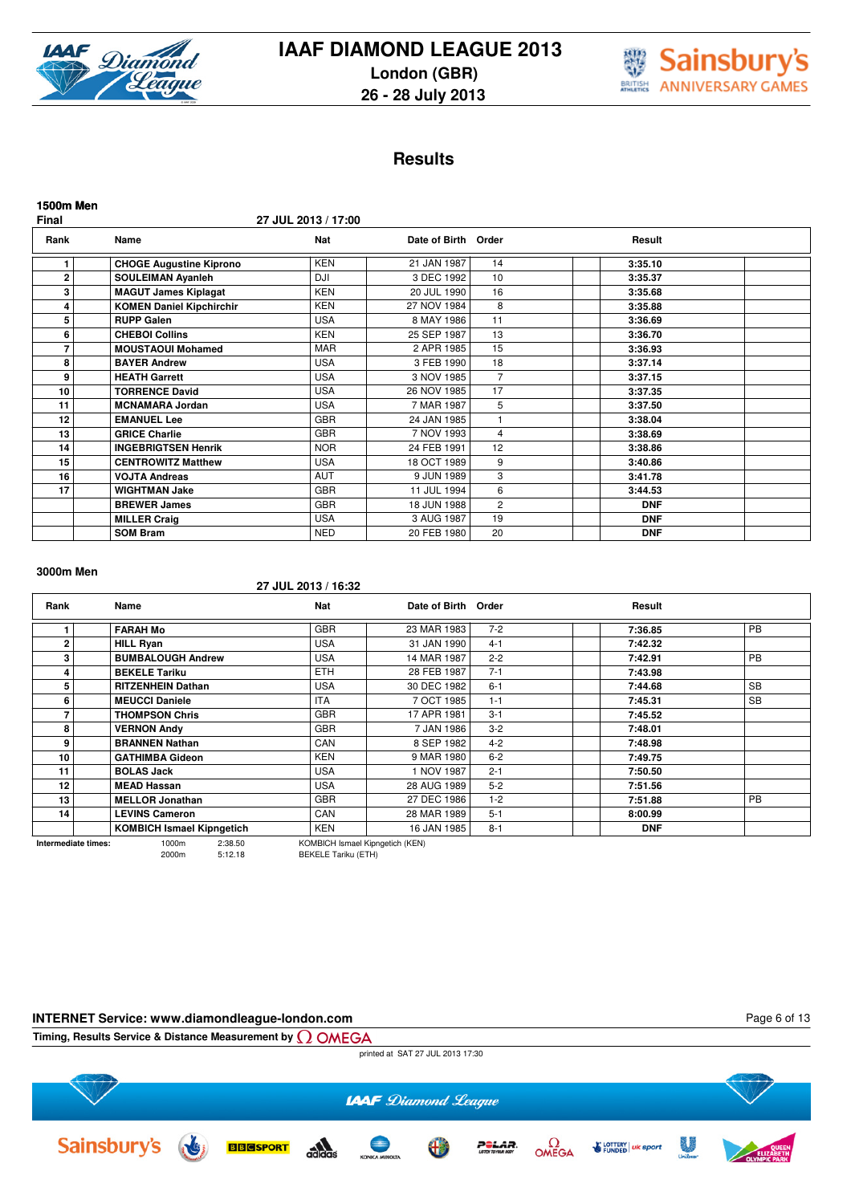



# **Results**

| <b>1500m Men</b><br>Final |                                 | 27 JUL 2013 / 17:00 |               |                |            |  |
|---------------------------|---------------------------------|---------------------|---------------|----------------|------------|--|
| Rank                      | Name                            | <b>Nat</b>          | Date of Birth | Order          | Result     |  |
| 1                         | <b>CHOGE Augustine Kiprono</b>  | <b>KEN</b>          | 21 JAN 1987   | 14             | 3:35.10    |  |
| $\mathbf{2}$              | <b>SOULEIMAN Ayanleh</b>        | DJI                 | 3 DEC 1992    | 10             | 3:35.37    |  |
| 3                         | <b>MAGUT James Kiplagat</b>     | <b>KEN</b>          | 20 JUL 1990   | 16             | 3:35.68    |  |
| 4                         | <b>KOMEN Daniel Kipchirchir</b> | <b>KEN</b>          | 27 NOV 1984   | 8              | 3:35.88    |  |
| 5                         | <b>RUPP Galen</b>               | <b>USA</b>          | 8 MAY 1986    | 11             | 3:36.69    |  |
| 6                         | <b>CHEBOI Collins</b>           | <b>KEN</b>          | 25 SEP 1987   | 13             | 3:36.70    |  |
| 7                         | <b>MOUSTAOUI Mohamed</b>        | <b>MAR</b>          | 2 APR 1985    | 15             | 3:36.93    |  |
| 8                         | <b>BAYER Andrew</b>             | <b>USA</b>          | 3 FEB 1990    | 18             | 3:37.14    |  |
| 9                         | <b>HEATH Garrett</b>            | <b>USA</b>          | 3 NOV 1985    | 7              | 3:37.15    |  |
| 10                        | <b>TORRENCE David</b>           | <b>USA</b>          | 26 NOV 1985   | 17             | 3:37.35    |  |
| 11                        | <b>MCNAMARA Jordan</b>          | <b>USA</b>          | 7 MAR 1987    | 5              | 3:37.50    |  |
| 12                        | <b>EMANUEL Lee</b>              | <b>GBR</b>          | 24 JAN 1985   | 1              | 3:38.04    |  |
| 13                        | <b>GRICE Charlie</b>            | <b>GBR</b>          | 7 NOV 1993    | $\overline{4}$ | 3:38.69    |  |
| 14                        | <b>INGEBRIGTSEN Henrik</b>      | <b>NOR</b>          | 24 FEB 1991   | 12             | 3:38.86    |  |
| 15                        | <b>CENTROWITZ Matthew</b>       | <b>USA</b>          | 18 OCT 1989   | 9              | 3:40.86    |  |
| 16                        | <b>VOJTA Andreas</b>            | <b>AUT</b>          | 9 JUN 1989    | 3              | 3:41.78    |  |
| 17                        | <b>WIGHTMAN Jake</b>            | <b>GBR</b>          | 11 JUL 1994   | 6              | 3:44.53    |  |
|                           | <b>BREWER James</b>             | <b>GBR</b>          | 18 JUN 1988   | $\overline{2}$ | <b>DNF</b> |  |
|                           | <b>MILLER Craig</b>             | <b>USA</b>          | 3 AUG 1987    | 19             | <b>DNF</b> |  |
|                           | <b>SOM Bram</b>                 | <b>NED</b>          | 20 FEB 1980   | 20             | <b>DNF</b> |  |

#### **3000m Men**

#### **27 JUL 2013 / 16:32**

| Rank                | Name                             | <b>Nat</b>                      | Date of Birth Order |         | Result     |           |
|---------------------|----------------------------------|---------------------------------|---------------------|---------|------------|-----------|
|                     | <b>FARAH Mo</b>                  | <b>GBR</b>                      | 23 MAR 1983         | $7 - 2$ | 7:36.85    | <b>PB</b> |
| 2                   | <b>HILL Ryan</b>                 | <b>USA</b>                      | 31 JAN 1990         | $4 - 1$ | 7:42.32    |           |
| 3                   | <b>BUMBALOUGH Andrew</b>         | <b>USA</b>                      | 14 MAR 1987         | $2 - 2$ | 7:42.91    | <b>PB</b> |
| 4                   | <b>BEKELE Tariku</b>             | <b>ETH</b>                      | 28 FEB 1987         | $7 - 1$ | 7:43.98    |           |
| 5                   | <b>RITZENHEIN Dathan</b>         | <b>USA</b>                      | 30 DEC 1982         | $6 - 1$ | 7:44.68    | <b>SB</b> |
| 6                   | <b>MEUCCI Daniele</b>            | <b>ITA</b>                      | 7 OCT 1985          | $1 - 1$ | 7:45.31    | <b>SB</b> |
|                     | <b>THOMPSON Chris</b>            | <b>GBR</b>                      | 17 APR 1981         | $3 - 1$ | 7:45.52    |           |
| 8                   | <b>VERNON Andy</b>               | <b>GBR</b>                      | 7 JAN 1986          | $3 - 2$ | 7:48.01    |           |
| 9                   | <b>BRANNEN Nathan</b>            | CAN                             | 8 SEP 1982          | $4 - 2$ | 7:48.98    |           |
| 10                  | <b>GATHIMBA Gideon</b>           | <b>KEN</b>                      | 9 MAR 1980          | $6 - 2$ | 7:49.75    |           |
| 11                  | <b>BOLAS Jack</b>                | <b>USA</b>                      | 1 NOV 1987          | $2 - 1$ | 7:50.50    |           |
| 12                  | <b>MEAD Hassan</b>               | <b>USA</b>                      | 28 AUG 1989         | $5 - 2$ | 7:51.56    |           |
| 13                  | <b>MELLOR Jonathan</b>           | <b>GBR</b>                      | 27 DEC 1986         | $1 - 2$ | 7:51.88    | <b>PB</b> |
| 14                  | <b>LEVINS Cameron</b>            | CAN                             | 28 MAR 1989         | $5 - 1$ | 8:00.99    |           |
|                     | <b>KOMBICH Ismael Kipngetich</b> | KEN                             | 16 JAN 1985         | $8 - 1$ | <b>DNF</b> |           |
| Intermediate times: | 2:38.50<br>1000m                 | KOMBICH Ismael Kipngetich (KEN) |                     |         |            |           |

2000m 5:12.18 BEKELE Tariku (ETH)

#### **INTERNET Service: www.diamondleague-london.com**

Page 6 of 13

**Timing, Results Service & Distance Measurement by**

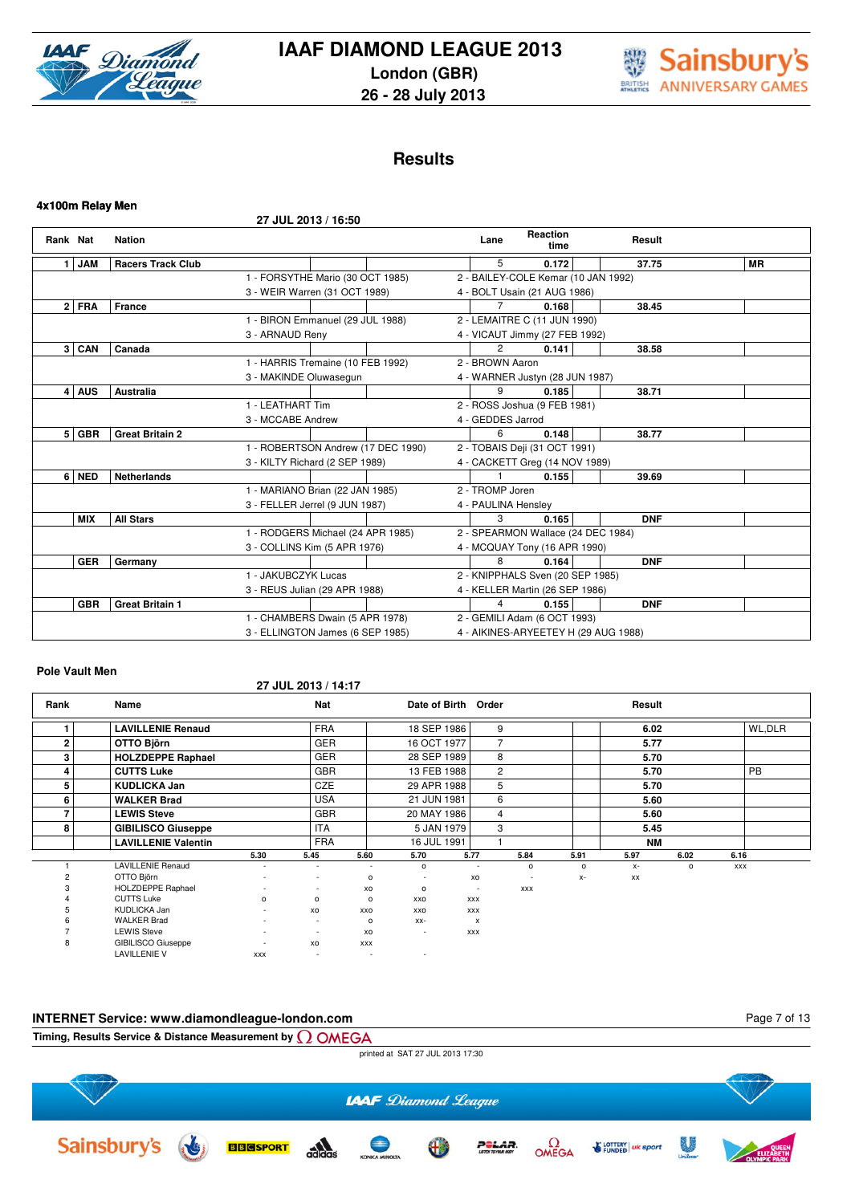

**4x100m Relay Men**

# **IAAF DIAMOND LEAGUE 2013 London (GBR) 26 - 28 July 2013**



# **Results**

|          |            |                          | 27 JUL 2013 / 16:50                |  |                     |                                      |            |           |
|----------|------------|--------------------------|------------------------------------|--|---------------------|--------------------------------------|------------|-----------|
| Rank Nat |            | <b>Nation</b>            |                                    |  | Lane                | Reaction<br>time                     | Result     |           |
| 1        | <b>JAM</b> | <b>Racers Track Club</b> |                                    |  | 5                   | 0.172                                | 37.75      | <b>MR</b> |
|          |            |                          | 1 - FORSYTHE Mario (30 OCT 1985)   |  |                     | 2 - BAILEY-COLE Kemar (10 JAN 1992)  |            |           |
|          |            |                          | 3 - WEIR Warren (31 OCT 1989)      |  |                     | 4 - BOLT Usain (21 AUG 1986)         |            |           |
|          | $2$ FRA    | France                   |                                    |  |                     | 0.168                                | 38.45      |           |
|          |            |                          | 1 - BIRON Emmanuel (29 JUL 1988)   |  |                     | 2 - LEMAITRE C (11 JUN 1990)         |            |           |
|          |            |                          | 3 - ARNAUD Reny                    |  |                     | 4 - VICAUT Jimmy (27 FEB 1992)       |            |           |
|          | $3 $ CAN   | Canada                   |                                    |  | $\overline{2}$      | 0.141                                | 38.58      |           |
|          |            |                          | 1 - HARRIS Tremaine (10 FEB 1992)  |  | 2 - BROWN Aaron     |                                      |            |           |
|          |            |                          | 3 - MAKINDE Oluwasegun             |  |                     | 4 - WARNER Justyn (28 JUN 1987)      |            |           |
|          | $4$ AUS    | <b>Australia</b>         |                                    |  | 9                   | 0.185                                | 38.71      |           |
|          |            |                          | 1 - LEATHART Tim                   |  |                     | 2 - ROSS Joshua (9 FEB 1981)         |            |           |
|          |            |                          | 3 - MCCABE Andrew                  |  | 4 - GEDDES Jarrod   |                                      |            |           |
|          | 5   GBR    | <b>Great Britain 2</b>   |                                    |  | 6                   | 0.148                                | 38.77      |           |
|          |            |                          | 1 - ROBERTSON Andrew (17 DEC 1990) |  |                     | 2 - TOBAIS Deji (31 OCT 1991)        |            |           |
|          |            |                          | 3 - KILTY Richard (2 SEP 1989)     |  |                     | 4 - CACKETT Greg (14 NOV 1989)       |            |           |
|          | 6 NED      | <b>Netherlands</b>       |                                    |  |                     | 0.155                                | 39.69      |           |
|          |            |                          | 1 - MARIANO Brian (22 JAN 1985)    |  | 2 - TROMP Joren     |                                      |            |           |
|          |            |                          | 3 - FELLER Jerrel (9 JUN 1987)     |  | 4 - PAULINA Hensley |                                      |            |           |
|          | <b>MIX</b> | <b>All Stars</b>         |                                    |  | 3                   | 0.165                                | <b>DNF</b> |           |
|          |            |                          | 1 - RODGERS Michael (24 APR 1985)  |  |                     | 2 - SPEARMON Wallace (24 DEC 1984)   |            |           |
|          |            |                          | 3 - COLLINS Kim (5 APR 1976)       |  |                     | 4 - MCQUAY Tony (16 APR 1990)        |            |           |
|          | <b>GER</b> | Germany                  |                                    |  | 8                   | 0.164                                | <b>DNF</b> |           |
|          |            |                          | 1 - JAKUBCZYK Lucas                |  |                     | 2 - KNIPPHALS Sven (20 SEP 1985)     |            |           |
|          |            |                          | 3 - REUS Julian (29 APR 1988)      |  |                     | 4 - KELLER Martin (26 SEP 1986)      |            |           |
|          | <b>GBR</b> | <b>Great Britain 1</b>   |                                    |  | 4                   | 0.155                                | <b>DNF</b> |           |
|          |            |                          | 1 - CHAMBERS Dwain (5 APR 1978)    |  |                     | 2 - GEMILI Adam (6 OCT 1993)         |            |           |
|          |            |                          | 3 - ELLINGTON James (6 SEP 1985)   |  |                     | 4 - AIKINES-ARYEETEY H (29 AUG 1988) |            |           |

### **Pole Vault Men**

### **27 JUL 2013 / 14:17**

| Rank           | Name                       |                          | <b>Nat</b>               |                          | Date of Birth Order      |                           |                |         | Result    |         |            |           |
|----------------|----------------------------|--------------------------|--------------------------|--------------------------|--------------------------|---------------------------|----------------|---------|-----------|---------|------------|-----------|
|                | <b>LAVILLENIE Renaud</b>   |                          | <b>FRA</b>               |                          | 18 SEP 1986              |                           | 9              |         | 6.02      |         |            | WL,DLR    |
| $\overline{2}$ | OTTO Björn                 |                          | <b>GER</b>               |                          | 16 OCT 1977              |                           | $\overline{7}$ |         | 5.77      |         |            |           |
| 3              | <b>HOLZDEPPE Raphael</b>   |                          | <b>GER</b>               |                          | 28 SEP 1989              |                           | 8              |         | 5.70      |         |            |           |
| 4              | <b>CUTTS Luke</b>          |                          | <b>GBR</b>               |                          | 13 FEB 1988              |                           | $\overline{2}$ |         | 5.70      |         |            | <b>PB</b> |
| 5              | <b>KUDLICKA Jan</b>        |                          | CZE                      |                          | 29 APR 1988              |                           | 5              |         | 5.70      |         |            |           |
| 6              | <b>WALKER Brad</b>         |                          | <b>USA</b>               |                          | 21 JUN 1981              |                           | 6              |         | 5.60      |         |            |           |
|                | <b>LEWIS Steve</b>         |                          | <b>GBR</b>               |                          | 20 MAY 1986              |                           | $\overline{4}$ |         | 5.60      |         |            |           |
| 8              | <b>GIBILISCO Giuseppe</b>  |                          | <b>ITA</b>               |                          | 5 JAN 1979               |                           | 3              |         | 5.45      |         |            |           |
|                | <b>LAVILLENIE Valentin</b> |                          | <b>FRA</b>               |                          | 16 JUL 1991              |                           |                |         | <b>NM</b> |         |            |           |
|                |                            | 5.30                     | 5.45                     | 5.60                     | 5.70                     | 5.77                      | 5.84           | 5.91    | 5.97      | 6.02    | 6.16       |           |
|                | <b>LAVILLENIE Renaud</b>   |                          | $\overline{\phantom{a}}$ | $\overline{\phantom{a}}$ | $\circ$                  |                           | $\circ$        | $\circ$ | $X-$      | $\circ$ | <b>XXX</b> |           |
|                | OTTO Björn                 |                          |                          | $\mathsf{o}\,$           | $\overline{\phantom{a}}$ | XO                        |                | $X-$    | XX        |         |            |           |
|                | HOLZDEPPE Raphael          | ٠                        | $\overline{a}$           | XO                       | $\circ$                  | $\sim$                    | <b>XXX</b>     |         |           |         |            |           |
|                | <b>CUTTS Luke</b>          | $\circ$                  | $\circ$                  | $\mathsf{o}$             | <b>XXO</b>               | <b>XXX</b>                |                |         |           |         |            |           |
| 5              | KUDLICKA Jan               | $\overline{\phantom{a}}$ | XO                       | XXO                      | XXO                      | <b>XXX</b>                |                |         |           |         |            |           |
|                | <b>WALKER Brad</b>         |                          | $\overline{\phantom{a}}$ | $\mathsf{o}$             | $XX-$                    | $\boldsymbol{\mathsf{x}}$ |                |         |           |         |            |           |
|                | <b>LEWIS Steve</b>         |                          | $\overline{\phantom{a}}$ | XO                       | ٠                        | XXX                       |                |         |           |         |            |           |
| 8              | <b>GIBILISCO Giuseppe</b>  |                          | XO                       | <b>XXX</b>               |                          |                           |                |         |           |         |            |           |
|                | <b>LAVILLENIE V</b>        | <b>XXX</b>               | $\sim$                   | $\sim$                   |                          |                           |                |         |           |         |            |           |

#### **INTERNET Service: www.diamondleague-london.com** Page 7 of 13**Timing, Results Service & Distance Measurement by** printed at SAT 27 JUL 2013 17:30 **LAAF** Diamond League **Sainsbury's**  $\Omega$ OMEGA 墨  $\frac{1}{2}$ **E LOTTERY** | uk sport **BBGSPORT** POLAR.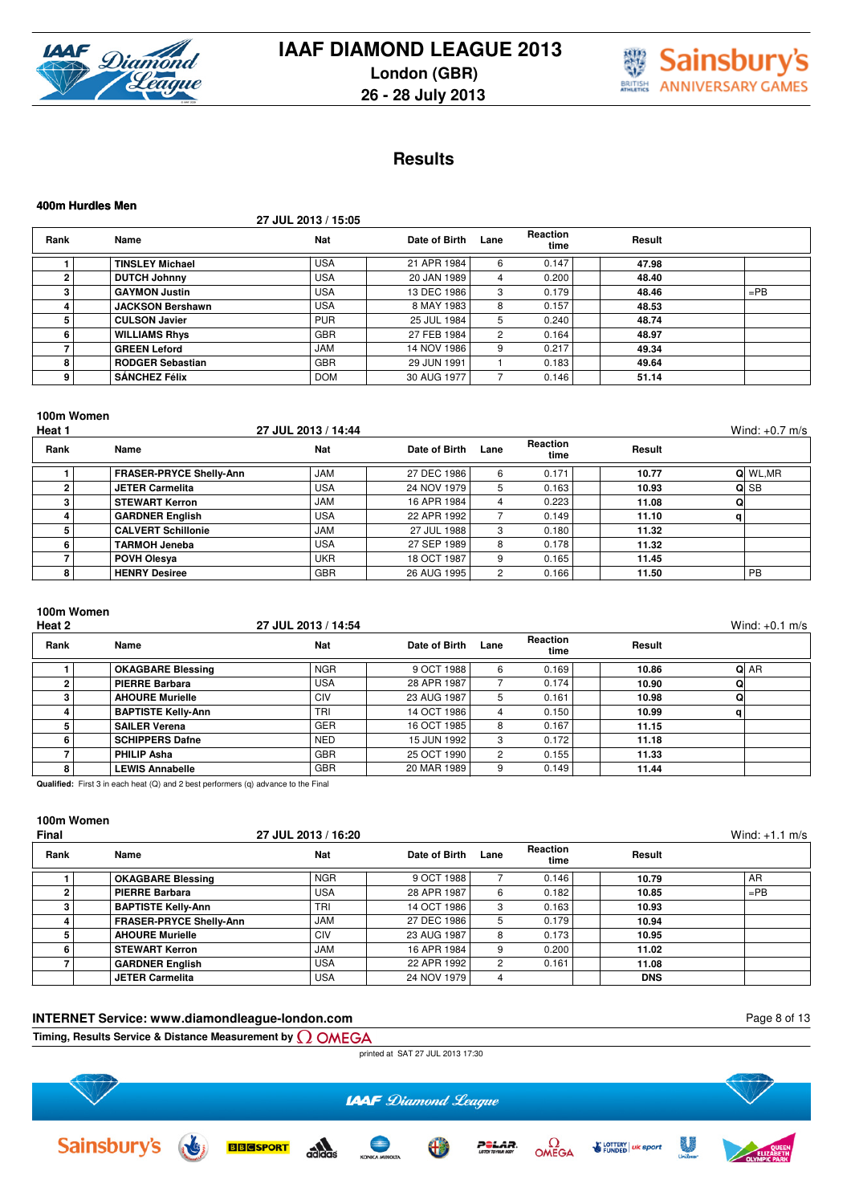



# **Results**

|      | 400m Hurdles Men        |                     |               |      |                         |        |        |  |  |  |  |
|------|-------------------------|---------------------|---------------|------|-------------------------|--------|--------|--|--|--|--|
|      |                         | 27 JUL 2013 / 15:05 |               |      |                         |        |        |  |  |  |  |
| Rank | Name                    | Nat                 | Date of Birth | Lane | <b>Reaction</b><br>time | Result |        |  |  |  |  |
|      | <b>TINSLEY Michael</b>  | <b>USA</b>          | 21 APR 1984   | 6    | 0.147                   | 47.98  |        |  |  |  |  |
| 2    | <b>DUTCH Johnny</b>     | <b>USA</b>          | 20 JAN 1989   | 4    | 0.200                   | 48.40  |        |  |  |  |  |
| 3    | <b>GAYMON Justin</b>    | <b>USA</b>          | 13 DEC 1986   | 3    | 0.179                   | 48.46  | $=$ PB |  |  |  |  |
| 4    | <b>JACKSON Bershawn</b> | <b>USA</b>          | 8 MAY 1983    | 8    | 0.157                   | 48.53  |        |  |  |  |  |
| 5    | <b>CULSON Javier</b>    | <b>PUR</b>          | 25 JUL 1984   | 5    | 0.240                   | 48.74  |        |  |  |  |  |
| 6    | <b>WILLIAMS Rhys</b>    | <b>GBR</b>          | 27 FEB 1984   | 2    | 0.164                   | 48.97  |        |  |  |  |  |
| 7    | <b>GREEN Leford</b>     | <b>JAM</b>          | 14 NOV 1986   | 9    | 0.217                   | 49.34  |        |  |  |  |  |
| 8    | <b>RODGER Sebastian</b> | <b>GBR</b>          | 29 JUN 1991   |      | 0.183                   | 49.64  |        |  |  |  |  |
| 9    | <b>SÁNCHEZ Félix</b>    | <b>DOM</b>          | 30 AUG 1977   |      | 0.146                   | 51.14  |        |  |  |  |  |

#### **100m Women**

| Heat 1 |                                | 27 JUL 2013 / 14:44 |               |      |                         |        | Wind: $+0.7$ m/s |
|--------|--------------------------------|---------------------|---------------|------|-------------------------|--------|------------------|
| Rank   | Name                           | Nat                 | Date of Birth | Lane | <b>Reaction</b><br>time | Result |                  |
|        | <b>FRASER-PRYCE Shelly-Ann</b> | <b>JAM</b>          | 27 DEC 1986   | 6    | 0.171                   | 10.77  | Q WL, MR         |
|        | <b>JETER Carmelita</b>         | <b>USA</b>          | 24 NOV 1979   | 5.   | 0.163                   | 10.93  | ol SB            |
|        | <b>STEWART Kerron</b>          | <b>JAM</b>          | 16 APR 1984   | 4    | 0.223                   | 11.08  |                  |
|        | <b>GARDNER English</b>         | <b>USA</b>          | 22 APR 1992   |      | 0.149                   | 11.10  | α                |
|        | <b>CALVERT Schillonie</b>      | <b>JAM</b>          | 27 JUL 1988   | 3    | 0.180                   | 11.32  |                  |
|        | <b>TARMOH Jeneba</b>           | <b>USA</b>          | 27 SEP 1989   | 8    | 0.178                   | 11.32  |                  |
|        | <b>POVH Olesva</b>             | <b>UKR</b>          | 18 OCT 1987   | 9    | 0.165                   | 11.45  |                  |
|        | <b>HENRY Desiree</b>           | <b>GBR</b>          | 26 AUG 1995   | 2    | 0.166                   | 11.50  | <b>PB</b>        |

### **100m Women**

| Heat 2 |                           | 27 JUL 2013 / 14:54 |               |      |                  |        | Wind: $+0.1$ m/s |
|--------|---------------------------|---------------------|---------------|------|------------------|--------|------------------|
| Rank   | Name                      | <b>Nat</b>          | Date of Birth | Lane | Reaction<br>time | Result |                  |
|        | <b>OKAGBARE Blessing</b>  | <b>NGR</b>          | 9 OCT 1988    | 6    | 0.169            | 10.86  | Q AR             |
|        | <b>PIERRE Barbara</b>     | <b>USA</b>          | 28 APR 1987   |      | 0.174            | 10.90  | Q                |
|        | <b>AHOURE Murielle</b>    | CIV                 | 23 AUG 1987   | 5    | 0.161            | 10.98  | Q                |
|        | <b>BAPTISTE Kelly-Ann</b> | <b>TRI</b>          | 14 OCT 1986   | 4    | 0.150            | 10.99  | a                |
|        | <b>SAILER Verena</b>      | <b>GER</b>          | 16 OCT 1985   | 8    | 0.167            | 11.15  |                  |
| 6      | <b>SCHIPPERS Dafne</b>    | <b>NED</b>          | 15 JUN 1992 I | 3    | 0.172            | 11.18  |                  |
|        | PHILIP Asha               | <b>GBR</b>          | 25 OCT 1990   | 2    | 0.155            | 11.33  |                  |
| 8      | <b>LEWIS Annabelle</b>    | <b>GBR</b>          | 20 MAR 1989   | 9    | 0.149            | 11.44  |                  |

**Qualified:** First 3 in each heat (Q) and 2 best performers (q) advance to the Final

# **100m Women**

| Final |                                | 27 JUL 2013 / 16:20 |               |      |                  |            | Wind: $+1.1$ m/s |
|-------|--------------------------------|---------------------|---------------|------|------------------|------------|------------------|
| Rank  | Name                           | <b>Nat</b>          | Date of Birth | Lane | Reaction<br>time | Result     |                  |
|       | <b>OKAGBARE Blessing</b>       | <b>NGR</b>          | 9 OCT 1988    |      | 0.146            | 10.79      | AR               |
|       | <b>PIERRE Barbara</b>          | <b>USA</b>          | 28 APR 1987   | 6    | 0.182            | 10.85      | $=$ PB           |
|       | <b>BAPTISTE Kelly-Ann</b>      | <b>TRI</b>          | 14 OCT 1986   | 3    | 0.163            | 10.93      |                  |
|       | <b>FRASER-PRYCE Shelly-Ann</b> | <b>JAM</b>          | 27 DEC 1986   | 5    | 0.179            | 10.94      |                  |
|       | <b>AHOURE Murielle</b>         | <b>CIV</b>          | 23 AUG 1987   | 8    | 0.173            | 10.95      |                  |
|       | <b>STEWART Kerron</b>          | <b>JAM</b>          | 16 APR 1984   | 9    | 0.200            | 11.02      |                  |
|       | <b>GARDNER English</b>         | <b>USA</b>          | 22 APR 1992   | 2    | 0.161            | 11.08      |                  |
|       | <b>JETER Carmelita</b>         | <b>USA</b>          | 24 NOV 1979   |      |                  | <b>DNS</b> |                  |

#### **INTERNET Service: www.diamondleague-london.com**

Page 8 of 13

**Timing, Results Service & Distance Measurement by**

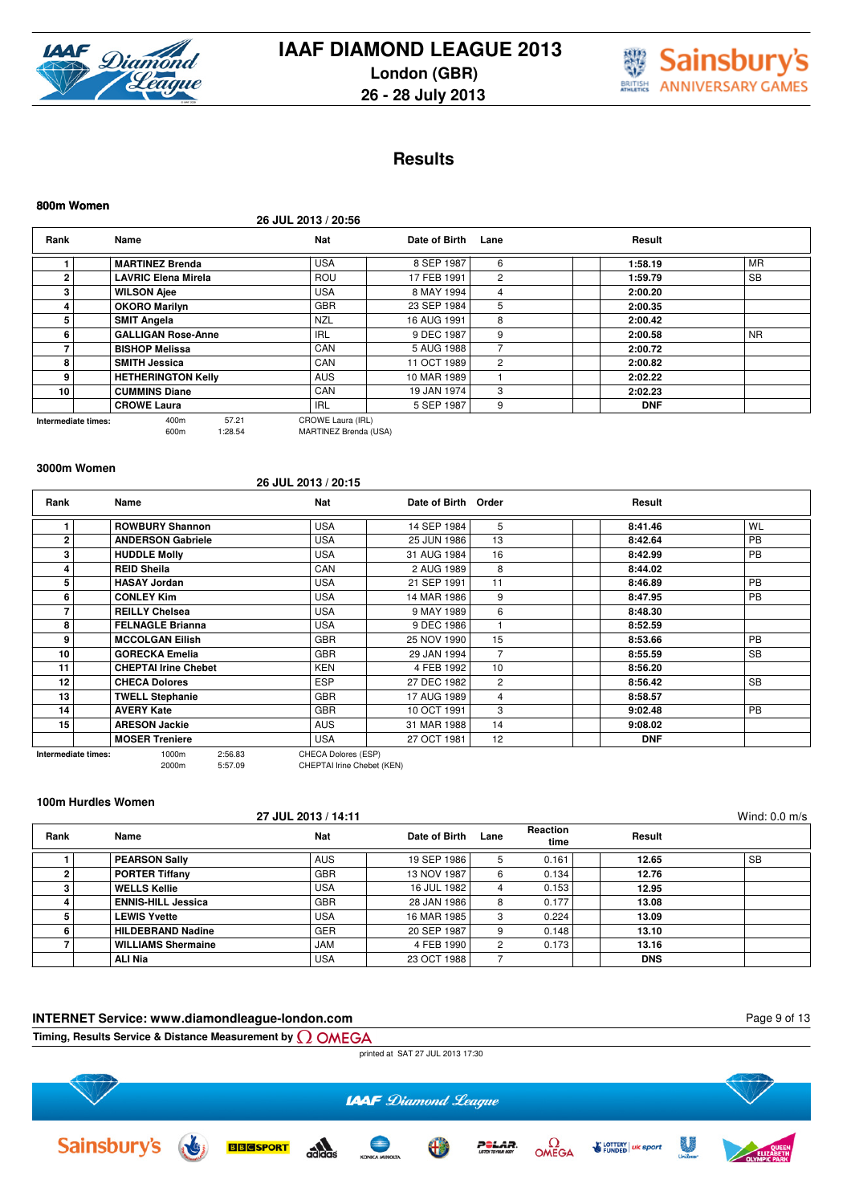



# **Results**

| 800m Women          |                            |                  |                                            |               |                |            |           |
|---------------------|----------------------------|------------------|--------------------------------------------|---------------|----------------|------------|-----------|
|                     |                            |                  | 26 JUL 2013 / 20:56                        |               |                |            |           |
| Rank                | Name                       |                  | Nat                                        | Date of Birth | Lane           | Result     |           |
|                     | <b>MARTINEZ Brenda</b>     |                  | <b>USA</b>                                 | 8 SEP 1987    | 6              | 1:58.19    | <b>MR</b> |
| $\mathbf 2$         | <b>LAVRIC Elena Mirela</b> |                  | <b>ROU</b>                                 | 17 FEB 1991   | 2              | 1:59.79    | <b>SB</b> |
| 3                   | <b>WILSON Ajee</b>         |                  | <b>USA</b>                                 | 8 MAY 1994    | 4              | 2:00.20    |           |
| 4                   | <b>OKORO Marilyn</b>       |                  | <b>GBR</b>                                 | 23 SEP 1984   | 5              | 2:00.35    |           |
| 5                   | <b>SMIT Angela</b>         |                  | <b>NZL</b>                                 | 16 AUG 1991   | 8              | 2:00.42    |           |
| 6                   | <b>GALLIGAN Rose-Anne</b>  |                  | <b>IRL</b>                                 | 9 DEC 1987    | 9              | 2:00.58    | <b>NR</b> |
|                     | <b>BISHOP Melissa</b>      |                  | CAN                                        | 5 AUG 1988    |                | 2:00.72    |           |
| 8                   | <b>SMITH Jessica</b>       |                  | CAN                                        | 11 OCT 1989   | $\overline{2}$ | 2:00.82    |           |
| 9                   | <b>HETHERINGTON Kelly</b>  |                  | <b>AUS</b>                                 | 10 MAR 1989   |                | 2:02.22    |           |
| 10                  | <b>CUMMINS Diane</b>       |                  | CAN                                        | 19 JAN 1974   | 3              | 2:02.23    |           |
|                     | <b>CROWE Laura</b>         |                  | <b>IRL</b>                                 | 5 SEP 1987    | 9              | <b>DNF</b> |           |
| Intermediate times: | 400m<br>600m               | 57.21<br>1:28.54 | CROWE Laura (IRL)<br>MARTINEZ Brenda (USA) |               |                |            |           |

#### **3000m Women**

#### **26 JUL 2013 / 20:15**

| Rank                | Name                        | Nat                 | Date of Birth Order |    | Result     |           |
|---------------------|-----------------------------|---------------------|---------------------|----|------------|-----------|
|                     | <b>ROWBURY Shannon</b>      | <b>USA</b>          | 14 SEP 1984         | 5  | 8:41.46    | WL        |
| 2                   | <b>ANDERSON Gabriele</b>    | <b>USA</b>          | 25 JUN 1986         | 13 | 8:42.64    | <b>PB</b> |
| 3                   | <b>HUDDLE Molly</b>         | <b>USA</b>          | 31 AUG 1984         | 16 | 8:42.99    | <b>PB</b> |
| 4                   | <b>REID Sheila</b>          | CAN                 | 2 AUG 1989          | 8  | 8:44.02    |           |
| 5                   | <b>HASAY Jordan</b>         | <b>USA</b>          | 21 SEP 1991         | 11 | 8:46.89    | <b>PB</b> |
| 6                   | <b>CONLEY Kim</b>           | <b>USA</b>          | 14 MAR 1986         | 9  | 8:47.95    | <b>PB</b> |
|                     | <b>REILLY Chelsea</b>       | <b>USA</b>          | 9 MAY 1989          | 6  | 8:48.30    |           |
| 8                   | <b>FELNAGLE Brianna</b>     | <b>USA</b>          | 9 DEC 1986          |    | 8:52.59    |           |
| 9                   | <b>MCCOLGAN Eilish</b>      | <b>GBR</b>          | 25 NOV 1990         | 15 | 8:53.66    | <b>PB</b> |
| 10                  | <b>GORECKA Emelia</b>       | <b>GBR</b>          | 29 JAN 1994         |    | 8:55.59    | <b>SB</b> |
| 11                  | <b>CHEPTAI Irine Chebet</b> | <b>KEN</b>          | 4 FEB 1992          | 10 | 8:56.20    |           |
| 12                  | <b>CHECA Dolores</b>        | <b>ESP</b>          | 27 DEC 1982         | 2  | 8:56.42    | <b>SB</b> |
| 13                  | <b>TWELL Stephanie</b>      | <b>GBR</b>          | 17 AUG 1989         | 4  | 8:58.57    |           |
| 14                  | <b>AVERY Kate</b>           | <b>GBR</b>          | 10 OCT 1991         | 3  | 9:02.48    | PB        |
| 15                  | <b>ARESON Jackie</b>        | <b>AUS</b>          | 31 MAR 1988         | 14 | 9:08.02    |           |
|                     | <b>MOSER Treniere</b>       | <b>USA</b>          | 27 OCT 1981         | 12 | <b>DNF</b> |           |
| Intermediate times: | 1000m<br>2:56.83            | CHECA Dolores (ESP) |                     |    |            |           |

#### **100m Hurdles Women**

Sainsbury's

|      |                           | 27 JUL 2013 / 14:11 |               |      |                         |            | Wind: $0.0$ m/s |
|------|---------------------------|---------------------|---------------|------|-------------------------|------------|-----------------|
| Rank | Name                      | Nat                 | Date of Birth | Lane | <b>Reaction</b><br>time | Result     |                 |
|      | <b>PEARSON Sally</b>      | <b>AUS</b>          | 19 SEP 1986   | 5    | 0.161                   | 12.65      | <b>SB</b>       |
|      | <b>PORTER Tiffany</b>     | <b>GBR</b>          | 13 NOV 1987   | 6    | 0.134                   | 12.76      |                 |
|      | <b>WELLS Kellie</b>       | <b>USA</b>          | 16 JUL 1982   | 4    | 0.153                   | 12.95      |                 |
|      | <b>ENNIS-HILL Jessica</b> | <b>GBR</b>          | 28 JAN 1986   | 8    | 0.177                   | 13.08      |                 |
|      | <b>LEWIS Yvette</b>       | <b>USA</b>          | 16 MAR 1985   | 3    | 0.224                   | 13.09      |                 |
|      | <b>HILDEBRAND Nadine</b>  | <b>GER</b>          | 20 SEP 1987   | 9    | 0.148                   | 13.10      |                 |
|      | <b>WILLIAMS Shermaine</b> | <b>JAM</b>          | 4 FEB 1990    | 2    | 0.173                   | 13.16      |                 |
|      | ALI Nia                   | <b>USA</b>          | 23 OCT 1988   |      |                         | <b>DNS</b> |                 |

# **INTERNET Service: www.diamondleague-london.com Timing, Results Service & Distance Measurement by** printed at SAT 27 JUL 2013 17:30

**LAAF** Diamond League  $\Omega_{\text{DEGA}}$ 影  $\frac{1}{2}$ **BBGSPORT E LOTTERY** | uk sport  $\bullet$ P<del>S</del>LAR.



<sup>2000</sup>m 5:57.09 CHEPTAI Irine Chebet (KEN)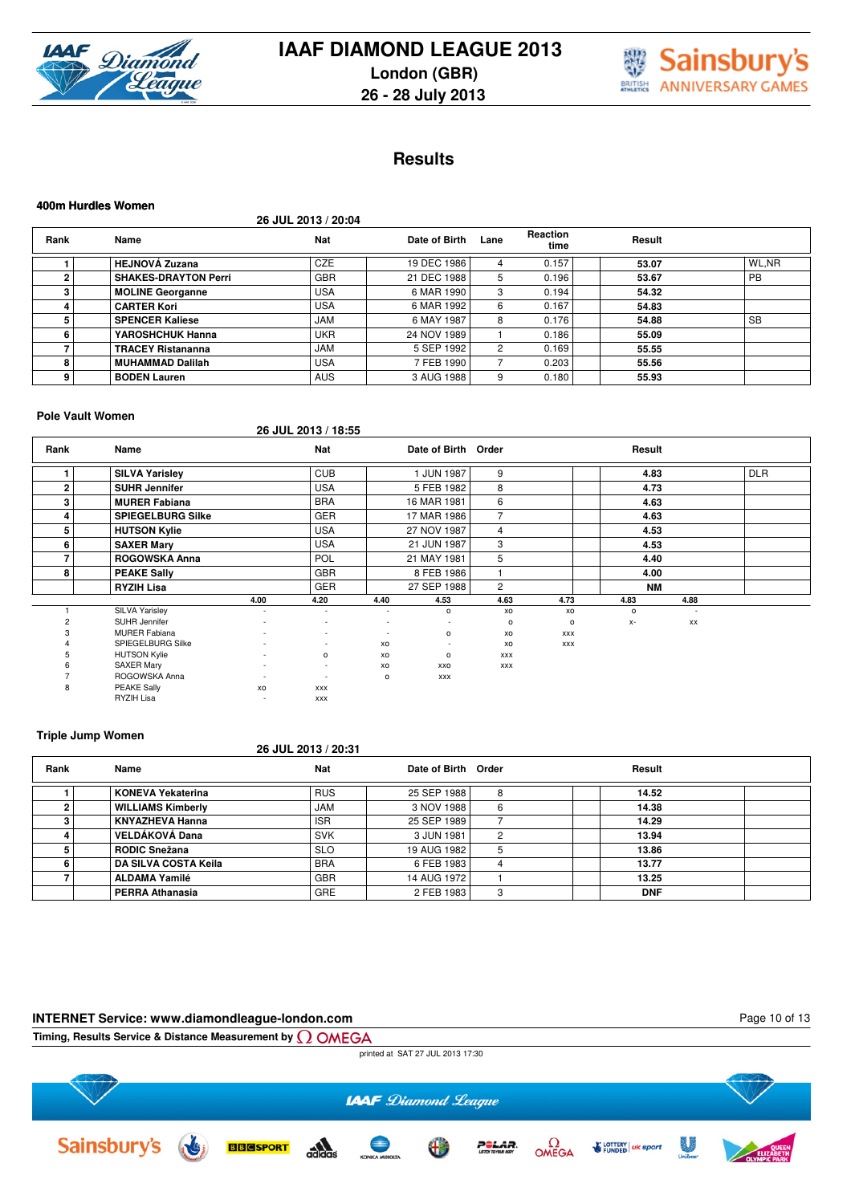



# **Results**

|                | 400m Hurdles Women          |                     |               |      |                         |        |           |  |  |  |  |  |
|----------------|-----------------------------|---------------------|---------------|------|-------------------------|--------|-----------|--|--|--|--|--|
|                |                             | 26 JUL 2013 / 20:04 |               |      |                         |        |           |  |  |  |  |  |
| Rank           | Name                        | <b>Nat</b>          | Date of Birth | Lane | <b>Reaction</b><br>time | Result |           |  |  |  |  |  |
|                | <b>HEJNOVÁ Zuzana</b>       | <b>CZE</b>          | 19 DEC 1986   | 4    | 0.157                   | 53.07  | WL.NR     |  |  |  |  |  |
| $\overline{2}$ | <b>SHAKES-DRAYTON Perri</b> | <b>GBR</b>          | 21 DEC 1988   | 5    | 0.196                   | 53.67  | <b>PB</b> |  |  |  |  |  |
| з              | <b>MOLINE Georganne</b>     | <b>USA</b>          | 6 MAR 1990    | 3    | 0.194                   | 54.32  |           |  |  |  |  |  |
|                | <b>CARTER Kori</b>          | <b>USA</b>          | 6 MAR 1992    | 6    | 0.167                   | 54.83  |           |  |  |  |  |  |
| 5              | <b>SPENCER Kaliese</b>      | <b>JAM</b>          | 6 MAY 1987    | 8    | 0.176                   | 54.88  | <b>SB</b> |  |  |  |  |  |
| 6              | YAROSHCHUK Hanna            | <b>UKR</b>          | 24 NOV 1989   |      | 0.186                   | 55.09  |           |  |  |  |  |  |
|                | <b>TRACEY Ristananna</b>    | <b>JAM</b>          | 5 SEP 1992    | 2    | 0.169                   | 55.55  |           |  |  |  |  |  |
| 8              | MUHAMMAD Dalilah            | <b>USA</b>          | 7 FEB 1990    |      | 0.203                   | 55.56  |           |  |  |  |  |  |
| 9              | <b>BODEN Lauren</b>         | <b>AUS</b>          | 3 AUG 1988    | 9    | 0.180                   | 55.93  |           |  |  |  |  |  |

#### **Pole Vault Women**

**26 JUL 2013 / 18:55**

| Rank         | Name                     |                          | <b>Nat</b>               |                          | Date of Birth Order |                |            | Result    |                          |            |  |
|--------------|--------------------------|--------------------------|--------------------------|--------------------------|---------------------|----------------|------------|-----------|--------------------------|------------|--|
|              | <b>SILVA Yarisley</b>    |                          | <b>CUB</b>               |                          | 1 JUN 1987          | 9              |            | 4.83      |                          | <b>DLR</b> |  |
| $\mathbf{2}$ | <b>SUHR Jennifer</b>     |                          | <b>USA</b>               |                          | 5 FEB 1982          | 8              |            | 4.73      |                          |            |  |
| 3            | <b>MURER Fabiana</b>     |                          | <b>BRA</b>               |                          | 16 MAR 1981         | 6              |            | 4.63      |                          |            |  |
| 4            | <b>SPIEGELBURG Silke</b> |                          | <b>GER</b>               |                          | 17 MAR 1986         | $\overline{7}$ |            | 4.63      |                          |            |  |
| 5            | <b>HUTSON Kylie</b>      |                          | <b>USA</b>               |                          | 27 NOV 1987         | $\overline{4}$ |            | 4.53      |                          |            |  |
| 6            | <b>SAXER Mary</b>        |                          | <b>USA</b>               |                          | 21 JUN 1987         | 3              |            | 4.53      |                          |            |  |
|              | <b>ROGOWSKA Anna</b>     |                          | <b>POL</b>               |                          | 21 MAY 1981         | 5              |            | 4.40      |                          |            |  |
| 8            | <b>PEAKE Sally</b>       |                          | <b>GBR</b>               |                          | 8 FEB 1986          |                |            | 4.00      |                          |            |  |
|              | <b>RYZIH Lisa</b>        |                          | <b>GER</b>               |                          | 27 SEP 1988         | $\overline{2}$ |            | <b>NM</b> |                          |            |  |
|              |                          | 4.00                     | 4.20                     | 4.40                     | 4.53                | 4.63           | 4.73       | 4.83      | 4.88                     |            |  |
|              | SILVA Yarisley           | $\overline{a}$           | $\overline{\phantom{a}}$ | $\overline{\phantom{a}}$ | $\circ$             | XO             | XO         | $\circ$   | $\overline{\phantom{a}}$ |            |  |
|              | SUHR Jennifer            | $\overline{a}$           | $\overline{\phantom{a}}$ | $\overline{\phantom{a}}$ | $\sim$              | $\circ$        | $\circ$    | $X-$      | XX                       |            |  |
|              | <b>MURER Fabiana</b>     | $\overline{a}$           | $\overline{\phantom{a}}$ | $\overline{\phantom{a}}$ | o                   | XO             | <b>XXX</b> |           |                          |            |  |
|              | SPIEGELBURG Silke        | $\overline{a}$           | $\sim$                   | XO                       | $\sim$              | XO             | <b>XXX</b> |           |                          |            |  |
|              | <b>HUTSON Kylie</b>      | $\sim$                   | $\mathsf{o}\,$           | xo                       | o                   | <b>XXX</b>     |            |           |                          |            |  |
|              | <b>SAXER Mary</b>        | $\sim$                   | $\sim$                   | XO                       | XXO                 | <b>XXX</b>     |            |           |                          |            |  |
|              | ROGOWSKA Anna            | $\overline{\phantom{a}}$ | ٠                        | o                        | <b>XXX</b>          |                |            |           |                          |            |  |
| 8            | <b>PEAKE Sally</b>       | XO                       | <b>XXX</b>               |                          |                     |                |            |           |                          |            |  |
|              | RYZIH Lisa               | $\overline{a}$           | <b>XXX</b>               |                          |                     |                |            |           |                          |            |  |

#### **Triple Jump Women**

#### **26 JUL 2013 / 20:31**

| Rank | Name                        | <b>Nat</b> | Date of Birth Order |   | Result     |  |
|------|-----------------------------|------------|---------------------|---|------------|--|
|      | <b>KONEVA Yekaterina</b>    | <b>RUS</b> | 25 SEP 1988         | 8 | 14.52      |  |
|      | <b>WILLIAMS Kimberly</b>    | <b>JAM</b> | 3 NOV 1988          | 6 | 14.38      |  |
|      | <b>KNYAZHEVA Hanna</b>      | <b>ISR</b> | 25 SEP 1989         |   | 14.29      |  |
|      | VELDÁKOVÁ Dana              | <b>SVK</b> | 3 JUN 1981          | ົ | 13.94      |  |
|      | <b>RODIC Snežana</b>        | <b>SLO</b> | 19 AUG 1982 I       |   | 13.86      |  |
|      | <b>DA SILVA COSTA Keila</b> | <b>BRA</b> | 6 FEB 1983          |   | 13.77      |  |
|      | <b>ALDAMA Yamilé</b>        | <b>GBR</b> | 14 AUG 1972         |   | 13.25      |  |
|      | <b>PERRA Athanasia</b>      | <b>GRE</b> | 2 FEB 1983          | з | <b>DNF</b> |  |

#### **INTERNET Service: www.diamondleague-london.com**

Page 10 of 13

**Timing, Results Service & Distance Measurement by**

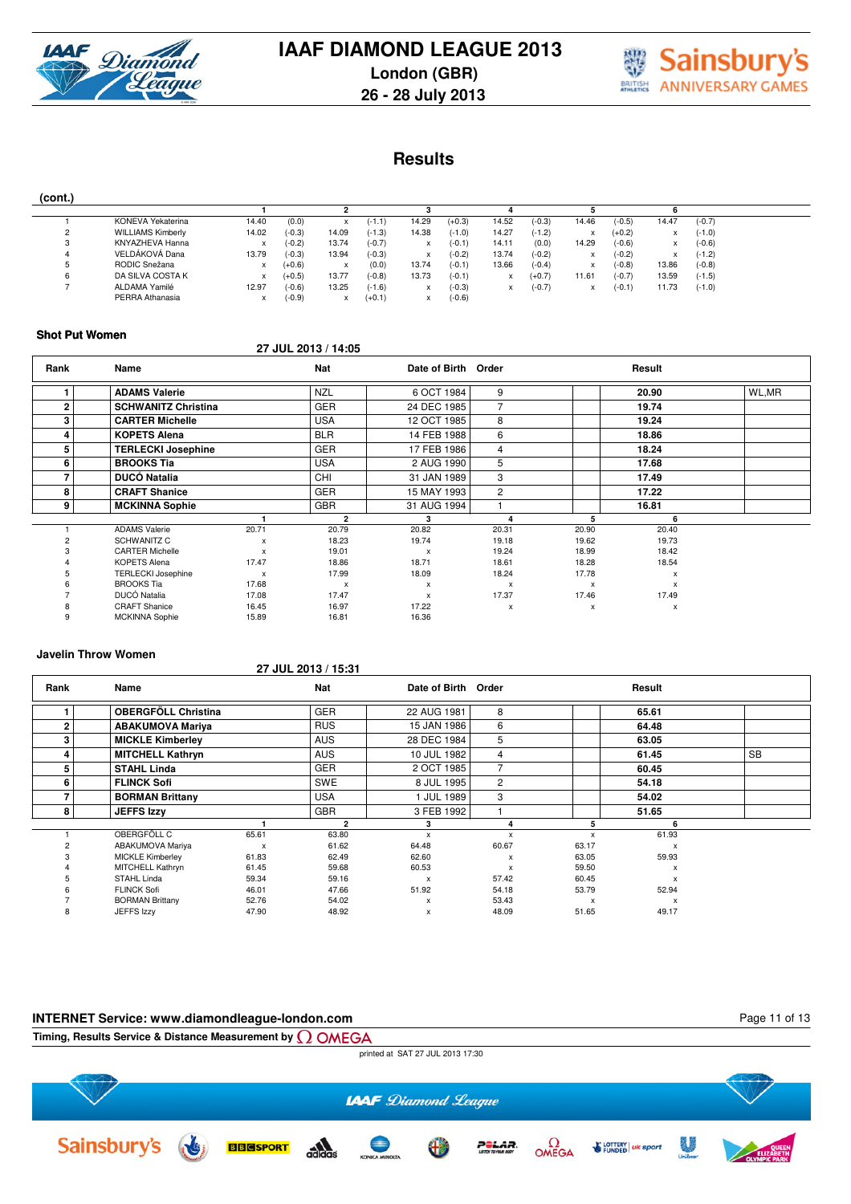



# **Results**

|--|

|          | KONEVA Yekaterina        | 14.40 | (0.0)    |       | $(-1.1)$ | 14.29 | $(+0.3)$ | 14.52 | $(-0.3)$ | 14.46 | $(-0.5)$ | 14.47 | $(-0.7)$ |
|----------|--------------------------|-------|----------|-------|----------|-------|----------|-------|----------|-------|----------|-------|----------|
| <u>_</u> | <b>WILLIAMS Kimberly</b> | 14.02 | $(-0.3)$ | 14.09 | $(-1.3)$ | 14.38 | $(-1.0)$ | 14.27 | $(-1.2)$ |       | $(+0.2)$ |       | $(-1.0)$ |
|          | KNYAZHEVA Hanna          |       | $(-0.2)$ | 13.74 | $(-0.7)$ |       | $(-0.1)$ | 14.11 | (0.0)    | 14.29 | $(-0.6)$ | ^     | $(-0.6)$ |
|          | VELDÁKOVÁ Dana           | 13.79 | $(-0.3)$ | 13.94 | $(-0.3)$ |       | $(-0.2)$ | 13.74 | $(-0.2)$ | ^     | $(-0.2)$ |       | $(-1.2)$ |
|          | RODIC Snežana            |       | $(+0.6)$ |       | (0.0)    | 13.74 | $(-0.1)$ | 13.66 | $(-0.4)$ | x     | $(-0.8)$ | 13.86 | $(-0.8)$ |
|          | DA SILVA COSTA K         |       | $(+0.5)$ | 13.77 | $(-0.8)$ | 13.73 | $(-0.1)$ |       | $(+0.7)$ | 11.61 | $(-0.7)$ | 13.59 | $(-1.5)$ |
|          | ALDAMA Yamilé            | 12.97 | $(-0.6)$ | 13.25 | $(-1.6)$ |       | $(-0.3)$ |       | $(-0.7)$ |       | (-0.1)   | 1.73  | $(-1.0)$ |
|          | PERRA Athanasia          |       | $(-0.9)$ |       | $(+0.1)$ |       | $(-0.6)$ |       |          |       |          |       |          |

#### **Shot Put Women**

#### **27 JUL 2013 / 14:05**

| Rank         | Name                       |                           | Nat                       | Date of Birth Order |                |       | Result                    |       |
|--------------|----------------------------|---------------------------|---------------------------|---------------------|----------------|-------|---------------------------|-------|
|              | <b>ADAMS Valerie</b>       |                           | <b>NZL</b>                | 6 OCT 1984          | 9              |       | 20.90                     | WL,MR |
| $\mathbf{2}$ | <b>SCHWANITZ Christina</b> |                           | <b>GER</b>                | 24 DEC 1985         | 7              |       | 19.74                     |       |
| 3            | <b>CARTER Michelle</b>     |                           | <b>USA</b>                | 12 OCT 1985         | 8              |       | 19.24                     |       |
| 4            | <b>KOPETS Alena</b>        |                           | <b>BLR</b>                | 14 FEB 1988         | 6              |       | 18.86                     |       |
| 5            | <b>TERLECKI Josephine</b>  |                           | <b>GER</b>                | 17 FEB 1986         | 4              |       | 18.24                     |       |
| 6            | <b>BROOKS Tia</b>          |                           | <b>USA</b>                | 2 AUG 1990          | 5              |       | 17.68                     |       |
|              | <b>DUCÓ Natalia</b>        |                           | <b>CHI</b>                | 31 JAN 1989         | 3              |       | 17.49                     |       |
| 8            | <b>CRAFT Shanice</b>       |                           | <b>GER</b>                | 15 MAY 1993         | $\overline{2}$ |       | 17.22                     |       |
| 9            | <b>MCKINNA Sophie</b>      |                           | <b>GBR</b>                | 31 AUG 1994         |                |       | 16.81                     |       |
|              |                            |                           | 2                         | 3                   |                | 5     | 6                         |       |
|              | <b>ADAMS Valerie</b>       | 20.71                     | 20.79                     | 20.82               | 20.31          | 20.90 | 20.40                     |       |
|              | <b>SCHWANITZ C</b>         | X                         | 18.23                     | 19.74               | 19.18          | 19.62 | 19.73                     |       |
|              | <b>CARTER Michelle</b>     | $\boldsymbol{\mathsf{x}}$ | 19.01                     | X                   | 19.24          | 18.99 | 18.42                     |       |
|              | <b>KOPETS Alena</b>        | 17.47                     | 18.86                     | 18.71               | 18.61          | 18.28 | 18.54                     |       |
|              | <b>TERLECKI Josephine</b>  | $\boldsymbol{\mathsf{x}}$ | 17.99                     | 18.09               | 18.24          | 17.78 | X                         |       |
|              | <b>BROOKS</b> Tia          | 17.68                     | $\boldsymbol{\mathsf{x}}$ | x                   | X              | X     | X                         |       |
|              | DUCÓ Natalia               | 17.08                     | 17.47                     | x                   | 17.37          | 17.46 | 17.49                     |       |
|              | <b>CRAFT Shanice</b>       | 16.45                     | 16.97                     | 17.22               | $\mathsf{x}$   | x     | $\boldsymbol{\mathsf{x}}$ |       |
|              | <b>MCKINNA Sophie</b>      | 15.89                     | 16.81                     | 16.36               |                |       |                           |       |

#### **Javelin Throw Women**

#### **27 JUL 2013 / 15:31**

| Rank           | Name                       |       | <b>Nat</b> | Date of Birth Order       |       |              | Result                    |           |
|----------------|----------------------------|-------|------------|---------------------------|-------|--------------|---------------------------|-----------|
|                | <b>OBERGFÖLL Christina</b> |       | <b>GER</b> | 22 AUG 1981               | 8     |              | 65.61                     |           |
| $\overline{2}$ | <b>ABAKUMOVA Mariya</b>    |       | <b>RUS</b> | 15 JAN 1986               | 6     |              | 64.48                     |           |
| 3              | <b>MICKLE Kimberley</b>    |       | <b>AUS</b> | 28 DEC 1984               | 5     |              | 63.05                     |           |
| 4              | <b>MITCHELL Kathryn</b>    |       | <b>AUS</b> | 10 JUL 1982               | 4     |              | 61.45                     | <b>SB</b> |
| 5              | <b>STAHL Linda</b>         |       | <b>GER</b> | 2 OCT 1985                | 7     |              | 60.45                     |           |
| 6              | <b>FLINCK Sofi</b>         |       | <b>SWE</b> | 8 JUL 1995                | 2     |              | 54.18                     |           |
|                | <b>BORMAN Brittany</b>     |       | <b>USA</b> | 1 JUL 1989                | 3     |              | 54.02                     |           |
| 8              | <b>JEFFS Izzv</b>          |       | <b>GBR</b> | 3 FEB 1992                |       |              | 51.65                     |           |
|                |                            |       | 2          | 3                         | 4     | 5            |                           |           |
|                | OBERGFÖLL C                | 65.61 | 63.80      | $\boldsymbol{\mathsf{x}}$ | x     | $\mathsf{x}$ | 61.93                     |           |
|                | ABAKUMOVA Mariya           | X     | 61.62      | 64.48                     | 60.67 | 63.17        | X                         |           |
|                | <b>MICKLE Kimberley</b>    | 61.83 | 62.49      | 62.60                     | x     | 63.05        | 59.93                     |           |
|                | MITCHELL Kathryn           | 61.45 | 59.68      | 60.53                     | x     | 59.50        | x                         |           |
|                | STAHL Linda                | 59.34 | 59.16      | X                         | 57.42 | 60.45        |                           |           |
|                | <b>FLINCK Sofi</b>         | 46.01 | 47.66      | 51.92                     | 54.18 | 53.79        | 52.94                     |           |
|                | <b>BORMAN Brittany</b>     | 52.76 | 54.02      | X                         | 53.43 | X            | $\boldsymbol{\mathsf{x}}$ |           |
| 8              | JEFFS Izzy                 | 47.90 | 48.92      | X                         | 48.09 | 51.65        | 49.17                     |           |

### **INTERNET Service: www.diamondleague-london.com**

Page 11 of 13



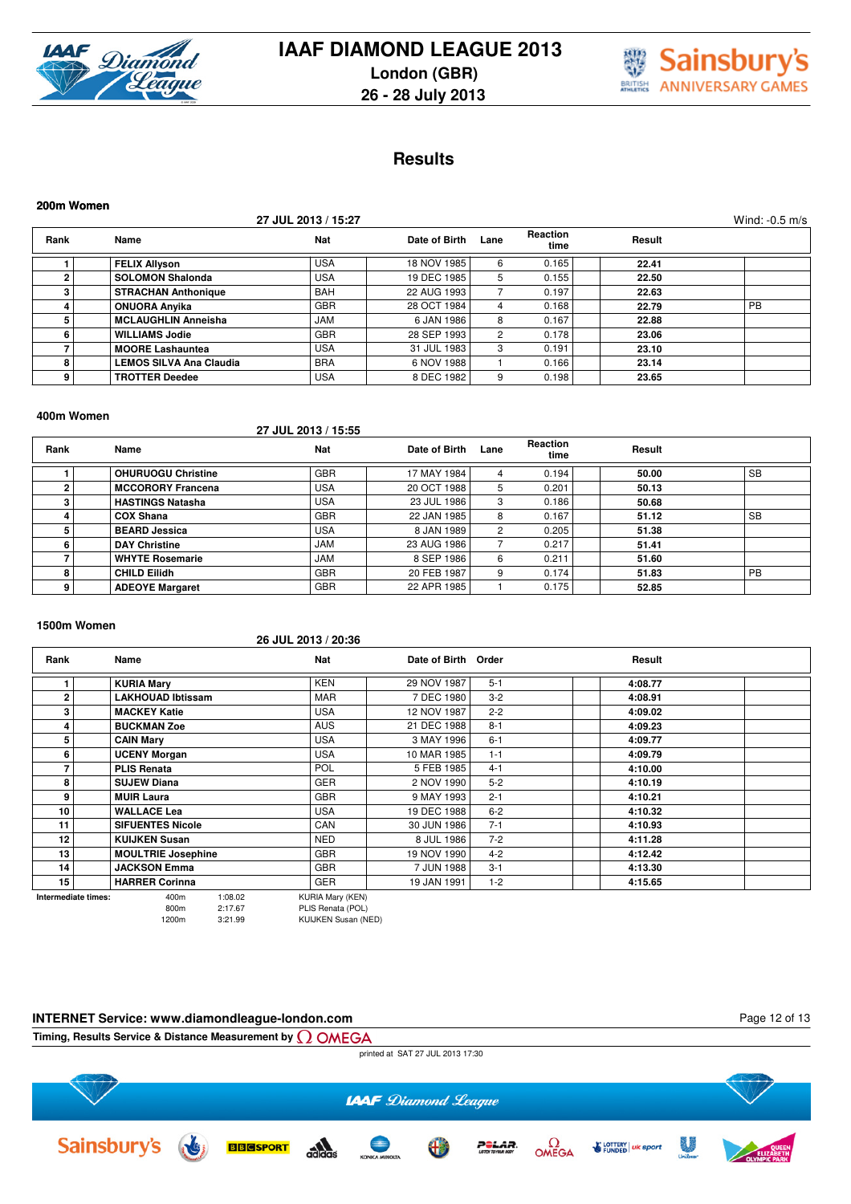



# **Results**

| 200m Women |                                |                     |               |      |                  |        |                  |
|------------|--------------------------------|---------------------|---------------|------|------------------|--------|------------------|
|            |                                | 27 JUL 2013 / 15:27 |               |      |                  |        | Wind: $-0.5$ m/s |
| Rank       | Name                           | <b>Nat</b>          | Date of Birth | Lane | Reaction<br>time | Result |                  |
|            | <b>FELIX Allyson</b>           | <b>USA</b>          | 18 NOV 1985   | 6    | 0.165            | 22.41  |                  |
|            | <b>SOLOMON Shalonda</b>        | <b>USA</b>          | 19 DEC 1985   | 5    | 0.155            | 22.50  |                  |
| з          | <b>STRACHAN Anthonique</b>     | <b>BAH</b>          | 22 AUG 1993   |      | 0.197            | 22.63  |                  |
|            | <b>ONUORA Anyika</b>           | <b>GBR</b>          | 28 OCT 1984   | 4    | 0.168            | 22.79  | <b>PB</b>        |
| 5          | <b>MCLAUGHLIN Anneisha</b>     | <b>JAM</b>          | 6 JAN 1986    | 8    | 0.167            | 22.88  |                  |
| 6          | <b>WILLIAMS Jodie</b>          | <b>GBR</b>          | 28 SEP 1993   | 2    | 0.178            | 23.06  |                  |
|            | <b>MOORE Lashauntea</b>        | <b>USA</b>          | 31 JUL 1983   | 3    | 0.191            | 23.10  |                  |
| 8          | <b>LEMOS SILVA Ana Claudia</b> | <b>BRA</b>          | 6 NOV 1988    |      | 0.166            | 23.14  |                  |
| 9          | <b>TROTTER Deedee</b>          | <b>USA</b>          | 8 DEC 1982    | 9    | 0.198            | 23.65  |                  |

#### **400m Women**

### **27 JUL 2013 / 15:55**

| Rank | Name                      | <b>Nat</b> | Date of Birth | Lane         | <b>Reaction</b><br>time | Result |           |
|------|---------------------------|------------|---------------|--------------|-------------------------|--------|-----------|
|      | <b>OHURUOGU Christine</b> | <b>GBR</b> | 17 MAY 1984   |              | 0.194                   | 50.00  | SB        |
|      | <b>MCCORORY Francena</b>  | <b>USA</b> | 20 OCT 1988   | $\mathbf{b}$ | 0.201                   | 50.13  |           |
|      | <b>HASTINGS Natasha</b>   | <b>USA</b> | 23 JUL 1986   | 3            | 0.186                   | 50.68  |           |
|      | <b>COX Shana</b>          | <b>GBR</b> | 22 JAN 1985   |              | 0.167                   | 51.12  | <b>SB</b> |
|      | <b>BEARD Jessica</b>      | <b>USA</b> | 8 JAN 1989    |              | 0.205                   | 51.38  |           |
| h    | <b>DAY Christine</b>      | <b>JAM</b> | 23 AUG 1986   |              | 0.217                   | 51.41  |           |
|      | <b>WHYTE Rosemarie</b>    | <b>JAM</b> | 8 SEP 1986    | 6            | 0.211                   | 51.60  |           |
| 8    | <b>CHILD Eilidh</b>       | <b>GBR</b> | 20 FEB 1987   |              | 0.174                   | 51.83  | <b>PB</b> |
| 9    | <b>ADEOYE Margaret</b>    | <b>GBR</b> | 22 APR 1985   |              | 0.175                   | 52.85  |           |

#### **1500m Women**

#### **26 JUL 2013 / 20:36**

| Rank                | Name                      | <b>Nat</b>              | Date of Birth Order |         | Result  |  |
|---------------------|---------------------------|-------------------------|---------------------|---------|---------|--|
|                     | <b>KURIA Mary</b>         | <b>KEN</b>              | 29 NOV 1987         | $5 - 1$ | 4:08.77 |  |
| $\overline{2}$      | <b>LAKHOUAD Ibtissam</b>  | <b>MAR</b>              | 7 DEC 1980          | $3 - 2$ | 4:08.91 |  |
| 3                   | <b>MACKEY Katie</b>       | <b>USA</b>              | 12 NOV 1987         | $2 - 2$ | 4:09.02 |  |
| 4                   | <b>BUCKMAN Zoe</b>        | <b>AUS</b>              | 21 DEC 1988         | $8 - 1$ | 4:09.23 |  |
| 5                   | <b>CAIN Mary</b>          | <b>USA</b>              | 3 MAY 1996          | $6 - 1$ | 4:09.77 |  |
| 6                   | <b>UCENY Morgan</b>       | <b>USA</b>              | 10 MAR 1985         | $1 - 1$ | 4:09.79 |  |
|                     | <b>PLIS Renata</b>        | <b>POL</b>              | 5 FEB 1985          | $4 - 1$ | 4:10.00 |  |
| 8                   | <b>SUJEW Diana</b>        | <b>GER</b>              | 2 NOV 1990          | $5 - 2$ | 4:10.19 |  |
| 9                   | <b>MUIR Laura</b>         | <b>GBR</b>              | 9 MAY 1993          | $2 - 1$ | 4:10.21 |  |
| 10                  | <b>WALLACE Lea</b>        | <b>USA</b>              | 19 DEC 1988         | $6 - 2$ | 4:10.32 |  |
| 11                  | <b>SIFUENTES Nicole</b>   | CAN                     | 30 JUN 1986         | $7 - 1$ | 4:10.93 |  |
| 12                  | <b>KUIJKEN Susan</b>      | <b>NED</b>              | 8 JUL 1986          | $7 - 2$ | 4:11.28 |  |
| 13                  | <b>MOULTRIE Josephine</b> | <b>GBR</b>              | 19 NOV 1990         | $4 - 2$ | 4:12.42 |  |
| 14                  | <b>JACKSON Emma</b>       | <b>GBR</b>              | 7 JUN 1988          | $3 - 1$ | 4:13.30 |  |
| 15                  | <b>HARRER Corinna</b>     | <b>GER</b>              | 19 JAN 1991         | $1 - 2$ | 4:15.65 |  |
| Intermediate times: | 1:08.02<br>400m           | <b>KURIA Mary (KEN)</b> |                     |         |         |  |

800m 2:17.67 PLIS Renata (POL)<br>1200m 3:21.99 KUUKEN Susan (N) 1200m 3:21.99 KUIJKEN Susan (NED)